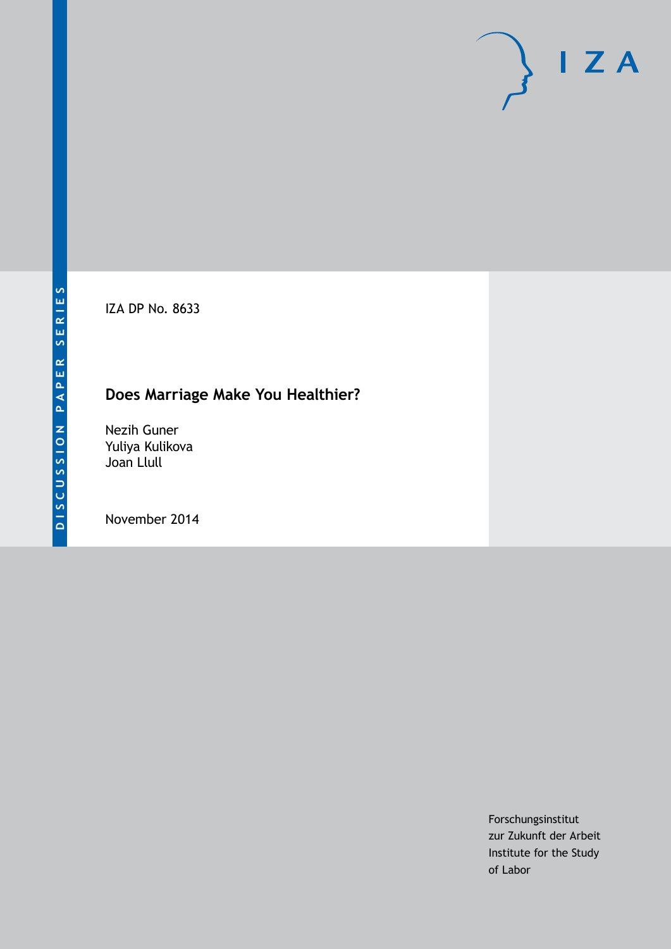IZA DP No. 8633

# **Does Marriage Make You Healthier?**

Nezih Guner Yuliya Kulikova Joan Llull

November 2014

Forschungsinstitut zur Zukunft der Arbeit Institute for the Study of Labor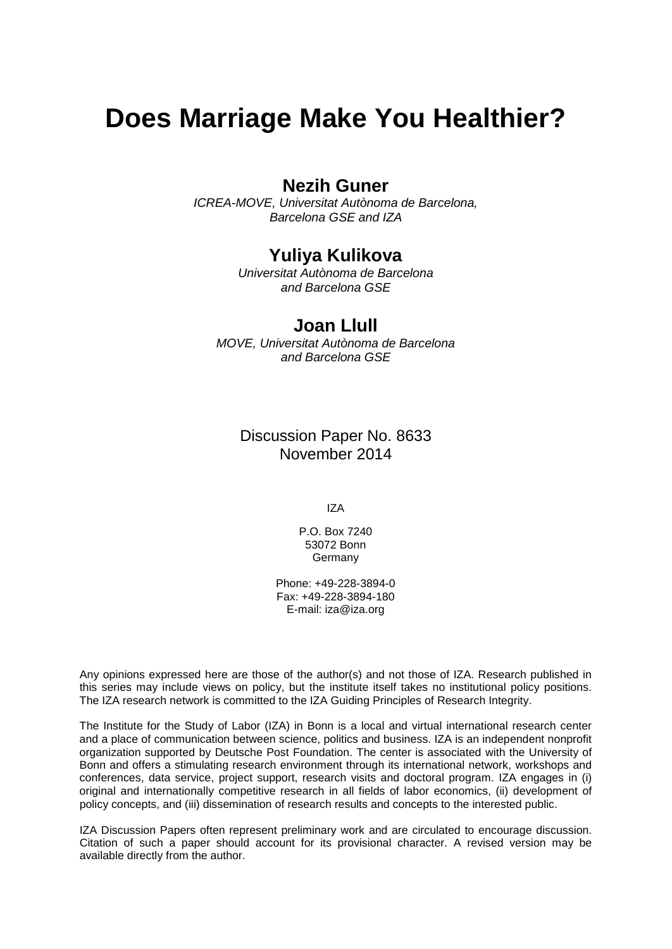# **Does Marriage Make You Healthier?**

## **Nezih Guner**

*ICREA-MOVE, Universitat Autònoma de Barcelona, Barcelona GSE and IZA*

### **Yuliya Kulikova**

*Universitat Autònoma de Barcelona and Barcelona GSE*

### **Joan Llull**

*MOVE, Universitat Autònoma de Barcelona and Barcelona GSE*

Discussion Paper No. 8633 November 2014

IZA

P.O. Box 7240 53072 Bonn **Germany** 

Phone: +49-228-3894-0 Fax: +49-228-3894-180 E-mail: [iza@iza.org](mailto:iza@iza.org)

Any opinions expressed here are those of the author(s) and not those of IZA. Research published in this series may include views on policy, but the institute itself takes no institutional policy positions. The IZA research network is committed to the IZA Guiding Principles of Research Integrity.

The Institute for the Study of Labor (IZA) in Bonn is a local and virtual international research center and a place of communication between science, politics and business. IZA is an independent nonprofit organization supported by Deutsche Post Foundation. The center is associated with the University of Bonn and offers a stimulating research environment through its international network, workshops and conferences, data service, project support, research visits and doctoral program. IZA engages in (i) original and internationally competitive research in all fields of labor economics, (ii) development of policy concepts, and (iii) dissemination of research results and concepts to the interested public.

<span id="page-1-0"></span>IZA Discussion Papers often represent preliminary work and are circulated to encourage discussion. Citation of such a paper should account for its provisional character. A revised version may be available directly from the author.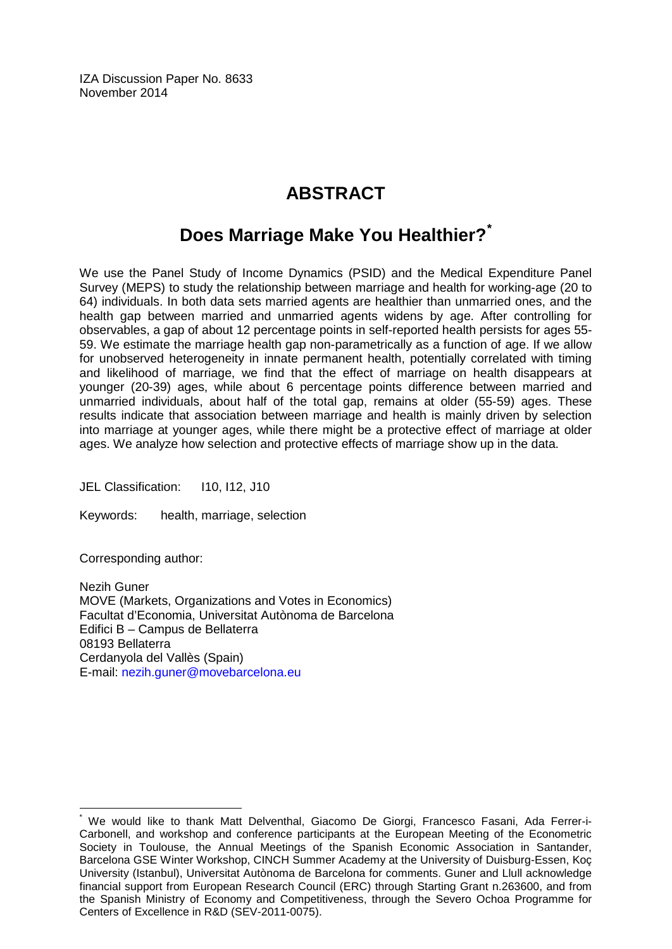IZA Discussion Paper No. 8633 November 2014

# **ABSTRACT**

# **Does Marriage Make You Healthier?[\\*](#page-1-0)**

We use the Panel Study of Income Dynamics (PSID) and the Medical Expenditure Panel Survey (MEPS) to study the relationship between marriage and health for working-age (20 to 64) individuals. In both data sets married agents are healthier than unmarried ones, and the health gap between married and unmarried agents widens by age. After controlling for observables, a gap of about 12 percentage points in self-reported health persists for ages 55- 59. We estimate the marriage health gap non-parametrically as a function of age. If we allow for unobserved heterogeneity in innate permanent health, potentially correlated with timing and likelihood of marriage, we find that the effect of marriage on health disappears at younger (20-39) ages, while about 6 percentage points difference between married and unmarried individuals, about half of the total gap, remains at older (55-59) ages. These results indicate that association between marriage and health is mainly driven by selection into marriage at younger ages, while there might be a protective effect of marriage at older ages. We analyze how selection and protective effects of marriage show up in the data.

JEL Classification: I10, I12, J10

Keywords: health, marriage, selection

Corresponding author:

Nezih Guner MOVE (Markets, Organizations and Votes in Economics) Facultat d'Economia, Universitat Autònoma de Barcelona Edifici B – Campus de Bellaterra 08193 Bellaterra Cerdanyola del Vallès (Spain) E-mail: [nezih.guner@movebarcelona.eu](mailto:nezih.guner@movebarcelona.eu)

We would like to thank Matt Delventhal, Giacomo De Giorgi, Francesco Fasani, Ada Ferrer-i-Carbonell, and workshop and conference participants at the European Meeting of the Econometric Society in Toulouse, the Annual Meetings of the Spanish Economic Association in Santander, Barcelona GSE Winter Workshop, CINCH Summer Academy at the University of Duisburg-Essen, Koç University (Istanbul), Universitat Autònoma de Barcelona for comments. Guner and Llull acknowledge financial support from European Research Council (ERC) through Starting Grant n.263600, and from the Spanish Ministry of Economy and Competitiveness, through the Severo Ochoa Programme for Centers of Excellence in R&D (SEV-2011-0075).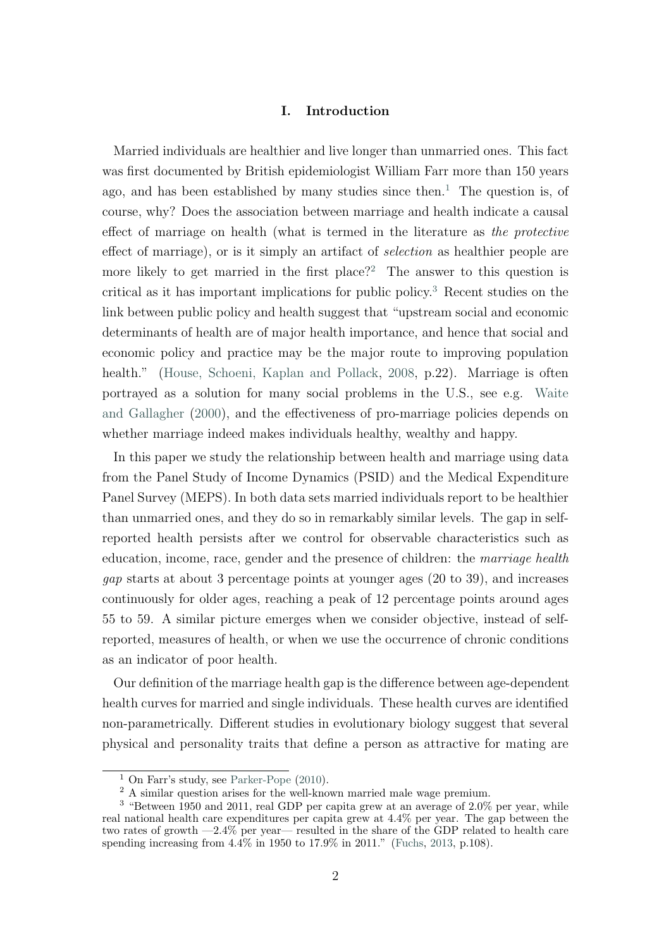#### I. Introduction

Married individuals are healthier and live longer than unmarried ones. This fact was first documented by British epidemiologist William Farr more than 150 years ago, and has been established by many studies since then.<sup>[1](#page-3-0)</sup> The question is, of course, why? Does the association between marriage and health indicate a causal effect of marriage on health (what is termed in the literature as the protective effect of marriage), or is it simply an artifact of selection as healthier people are more likely to get married in the first place?<sup>[2](#page-3-1)</sup> The answer to this question is critical as it has important implications for public policy.[3](#page-3-2) Recent studies on the link between public policy and health suggest that "upstream social and economic determinants of health are of major health importance, and hence that social and economic policy and practice may be the major route to improving population health." [\(House, Schoeni, Kaplan and Pollack,](#page-30-0) [2008,](#page-30-0) p.22). Marriage is often portrayed as a solution for many social problems in the U.S., see e.g. [Waite](#page-31-0) [and Gallagher](#page-31-0) [\(2000\)](#page-31-0), and the effectiveness of pro-marriage policies depends on whether marriage indeed makes individuals healthy, wealthy and happy.

In this paper we study the relationship between health and marriage using data from the Panel Study of Income Dynamics (PSID) and the Medical Expenditure Panel Survey (MEPS). In both data sets married individuals report to be healthier than unmarried ones, and they do so in remarkably similar levels. The gap in selfreported health persists after we control for observable characteristics such as education, income, race, gender and the presence of children: the marriage health gap starts at about 3 percentage points at younger ages (20 to 39), and increases continuously for older ages, reaching a peak of 12 percentage points around ages 55 to 59. A similar picture emerges when we consider objective, instead of selfreported, measures of health, or when we use the occurrence of chronic conditions as an indicator of poor health.

Our definition of the marriage health gap is the difference between age-dependent health curves for married and single individuals. These health curves are identified non-parametrically. Different studies in evolutionary biology suggest that several physical and personality traits that define a person as attractive for mating are

<span id="page-3-0"></span><sup>&</sup>lt;sup>1</sup> On Farr's study, see [Parker-Pope](#page-30-1)  $(2010)$ .

<span id="page-3-2"></span><span id="page-3-1"></span><sup>&</sup>lt;sup>2</sup> A similar question arises for the well-known married male wage premium.

<sup>3</sup> "Between 1950 and 2011, real GDP per capita grew at an average of 2.0% per year, while real national health care expenditures per capita grew at 4.4% per year. The gap between the two rates of growth —2.4% per year— resulted in the share of the GDP related to health care spending increasing from  $4.\overline{4\%}$  in 1950 to 17.9% in 2011." [\(Fuchs,](#page-29-0) [2013,](#page-29-0) p.108).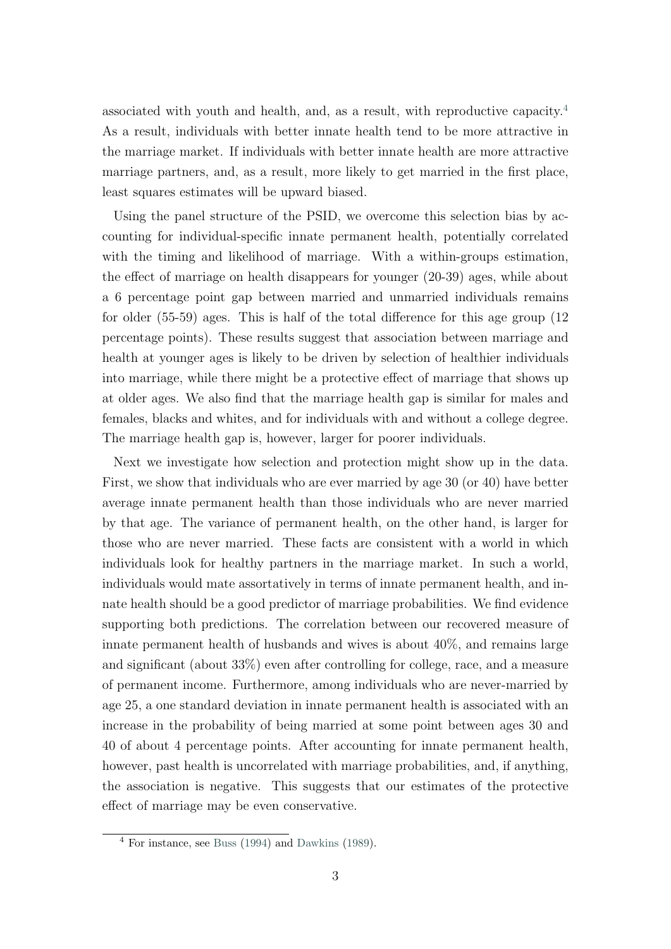associated with youth and health, and, as a result, with reproductive capacity.[4](#page-4-0) As a result, individuals with better innate health tend to be more attractive in the marriage market. If individuals with better innate health are more attractive marriage partners, and, as a result, more likely to get married in the first place, least squares estimates will be upward biased.

Using the panel structure of the PSID, we overcome this selection bias by accounting for individual-specific innate permanent health, potentially correlated with the timing and likelihood of marriage. With a within-groups estimation, the effect of marriage on health disappears for younger (20-39) ages, while about a 6 percentage point gap between married and unmarried individuals remains for older (55-59) ages. This is half of the total difference for this age group (12 percentage points). These results suggest that association between marriage and health at younger ages is likely to be driven by selection of healthier individuals into marriage, while there might be a protective effect of marriage that shows up at older ages. We also find that the marriage health gap is similar for males and females, blacks and whites, and for individuals with and without a college degree. The marriage health gap is, however, larger for poorer individuals.

Next we investigate how selection and protection might show up in the data. First, we show that individuals who are ever married by age 30 (or 40) have better average innate permanent health than those individuals who are never married by that age. The variance of permanent health, on the other hand, is larger for those who are never married. These facts are consistent with a world in which individuals look for healthy partners in the marriage market. In such a world, individuals would mate assortatively in terms of innate permanent health, and innate health should be a good predictor of marriage probabilities. We find evidence supporting both predictions. The correlation between our recovered measure of innate permanent health of husbands and wives is about 40%, and remains large and significant (about 33%) even after controlling for college, race, and a measure of permanent income. Furthermore, among individuals who are never-married by age 25, a one standard deviation in innate permanent health is associated with an increase in the probability of being married at some point between ages 30 and 40 of about 4 percentage points. After accounting for innate permanent health, however, past health is uncorrelated with marriage probabilities, and, if anything, the association is negative. This suggests that our estimates of the protective effect of marriage may be even conservative.

<span id="page-4-0"></span> $4$  For instance, see [Buss](#page-29-1) [\(1994\)](#page-29-1) and [Dawkins](#page-29-2) [\(1989\)](#page-29-2).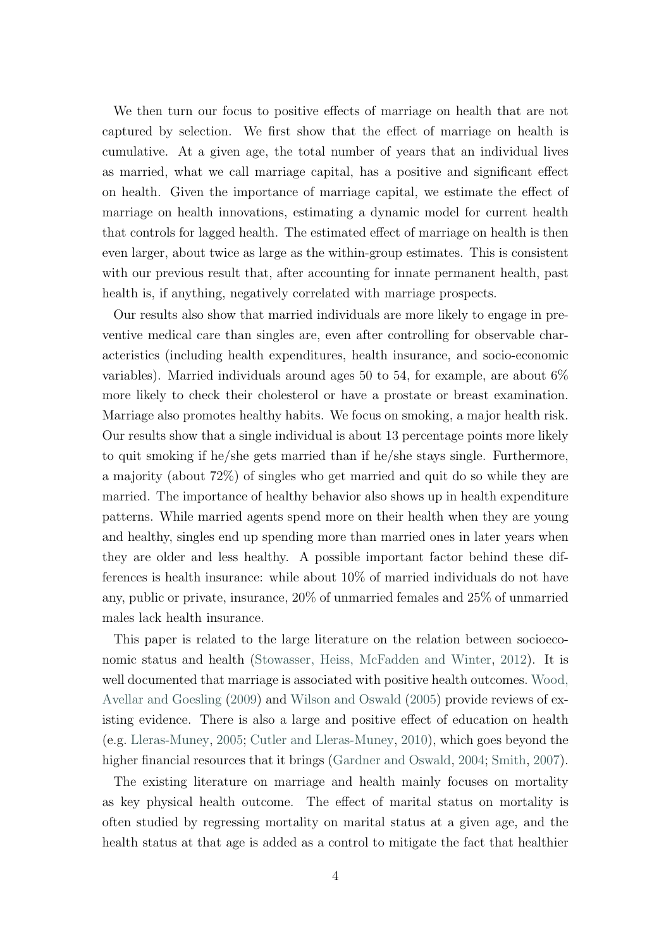We then turn our focus to positive effects of marriage on health that are not captured by selection. We first show that the effect of marriage on health is cumulative. At a given age, the total number of years that an individual lives as married, what we call marriage capital, has a positive and significant effect on health. Given the importance of marriage capital, we estimate the effect of marriage on health innovations, estimating a dynamic model for current health that controls for lagged health. The estimated effect of marriage on health is then even larger, about twice as large as the within-group estimates. This is consistent with our previous result that, after accounting for innate permanent health, past health is, if anything, negatively correlated with marriage prospects.

Our results also show that married individuals are more likely to engage in preventive medical care than singles are, even after controlling for observable characteristics (including health expenditures, health insurance, and socio-economic variables). Married individuals around ages 50 to 54, for example, are about  $6\%$ more likely to check their cholesterol or have a prostate or breast examination. Marriage also promotes healthy habits. We focus on smoking, a major health risk. Our results show that a single individual is about 13 percentage points more likely to quit smoking if he/she gets married than if he/she stays single. Furthermore, a majority (about 72%) of singles who get married and quit do so while they are married. The importance of healthy behavior also shows up in health expenditure patterns. While married agents spend more on their health when they are young and healthy, singles end up spending more than married ones in later years when they are older and less healthy. A possible important factor behind these differences is health insurance: while about 10% of married individuals do not have any, public or private, insurance, 20% of unmarried females and 25% of unmarried males lack health insurance.

This paper is related to the large literature on the relation between socioeconomic status and health [\(Stowasser, Heiss, McFadden and Winter,](#page-31-1) [2012\)](#page-31-1). It is well documented that marriage is associated with positive health outcomes. [Wood,](#page-31-2) [Avellar and Goesling](#page-31-2) [\(2009\)](#page-31-2) and [Wilson and Oswald](#page-31-3) [\(2005\)](#page-31-3) provide reviews of existing evidence. There is also a large and positive effect of education on health (e.g. [Lleras-Muney,](#page-30-2) [2005;](#page-30-2) [Cutler and Lleras-Muney,](#page-29-3) [2010\)](#page-29-3), which goes beyond the higher financial resources that it brings [\(Gardner and Oswald,](#page-30-3) [2004;](#page-30-3) [Smith,](#page-31-4) [2007\)](#page-31-4).

The existing literature on marriage and health mainly focuses on mortality as key physical health outcome. The effect of marital status on mortality is often studied by regressing mortality on marital status at a given age, and the health status at that age is added as a control to mitigate the fact that healthier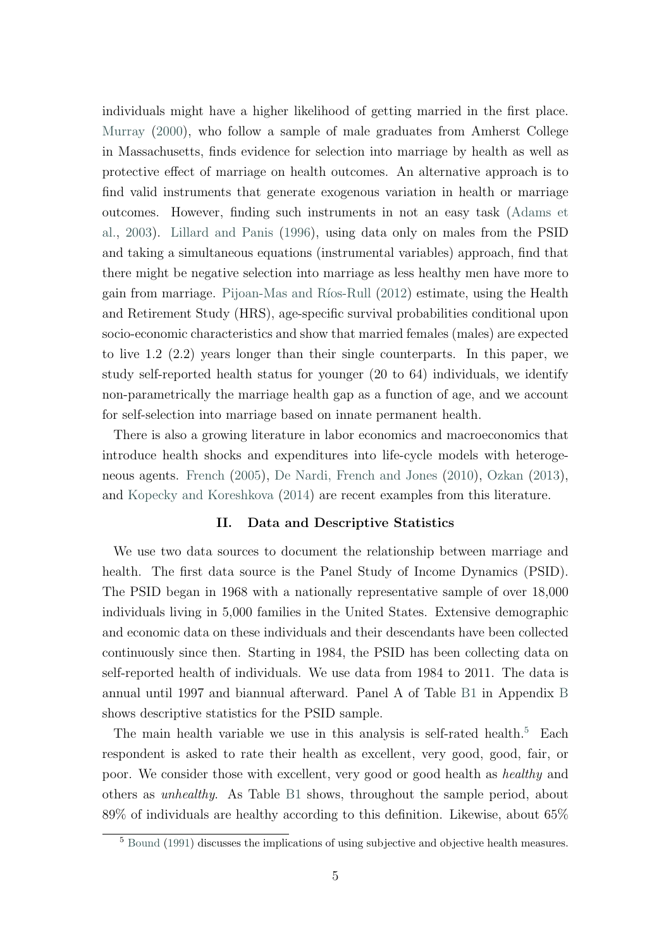individuals might have a higher likelihood of getting married in the first place. [Murray](#page-30-4) [\(2000\)](#page-30-4), who follow a sample of male graduates from Amherst College in Massachusetts, finds evidence for selection into marriage by health as well as protective effect of marriage on health outcomes. An alternative approach is to find valid instruments that generate exogenous variation in health or marriage outcomes. However, finding such instruments in not an easy task [\(Adams et](#page-28-0) [al.,](#page-28-0) [2003\)](#page-28-0). [Lillard and Panis](#page-30-5) [\(1996\)](#page-30-5), using data only on males from the PSID and taking a simultaneous equations (instrumental variables) approach, find that there might be negative selection into marriage as less healthy men have more to gain from marriage. Pijoan-Mas and Ríos-Rull  $(2012)$  estimate, using the Health and Retirement Study (HRS), age-specific survival probabilities conditional upon socio-economic characteristics and show that married females (males) are expected to live 1.2 (2.2) years longer than their single counterparts. In this paper, we study self-reported health status for younger (20 to 64) individuals, we identify non-parametrically the marriage health gap as a function of age, and we account for self-selection into marriage based on innate permanent health.

There is also a growing literature in labor economics and macroeconomics that introduce health shocks and expenditures into life-cycle models with heterogeneous agents. [French](#page-29-4) [\(2005\)](#page-29-4), [De Nardi, French and Jones](#page-29-5) [\(2010\)](#page-29-5), [Ozkan](#page-30-7) [\(2013\)](#page-30-7), and [Kopecky and Koreshkova](#page-30-8) [\(2014\)](#page-30-8) are recent examples from this literature.

#### II. Data and Descriptive Statistics

<span id="page-6-1"></span>We use two data sources to document the relationship between marriage and health. The first data source is the Panel Study of Income Dynamics (PSID). The PSID began in 1968 with a nationally representative sample of over 18,000 individuals living in 5,000 families in the United States. Extensive demographic and economic data on these individuals and their descendants have been collected continuously since then. Starting in 1984, the PSID has been collecting data on self-reported health of individuals. We use data from 1984 to 2011. The data is annual until 1997 and biannual afterward. Panel A of Table [B1](#page-36-0) in Appendix [B](#page-36-1) shows descriptive statistics for the PSID sample.

The main health variable we use in this analysis is self-rated health.<sup>[5](#page-6-0)</sup> Each respondent is asked to rate their health as excellent, very good, good, fair, or poor. We consider those with excellent, very good or good health as healthy and others as unhealthy. As Table [B1](#page-36-0) shows, throughout the sample period, about 89% of individuals are healthy according to this definition. Likewise, about 65%

<span id="page-6-0"></span><sup>5</sup> [Bound](#page-29-6) [\(1991\)](#page-29-6) discusses the implications of using subjective and objective health measures.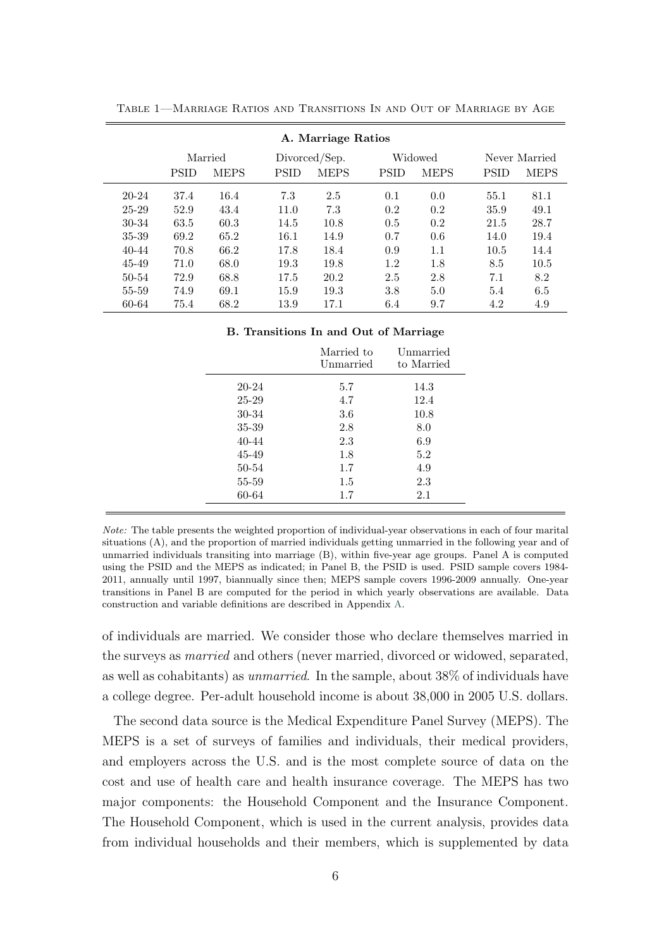|           | A. Marriage Ratios |             |               |             |             |             |             |               |  |
|-----------|--------------------|-------------|---------------|-------------|-------------|-------------|-------------|---------------|--|
|           |                    | Married     | Divorced/Sep. |             |             | Widowed     |             | Never Married |  |
|           | <b>PSID</b>        | <b>MEPS</b> | <b>PSID</b>   | <b>MEPS</b> | <b>PSID</b> | <b>MEPS</b> | <b>PSID</b> | <b>MEPS</b>   |  |
| $20 - 24$ | 37.4               | 16.4        | 7.3           | 2.5         | 0.1         | 0.0         | 55.1        | 81.1          |  |
| $25 - 29$ | 52.9               | 43.4        | 11.0          | 7.3         | 0.2         | 0.2         | 35.9        | 49.1          |  |
| 30-34     | 63.5               | 60.3        | 14.5          | 10.8        | 0.5         | 0.2         | 21.5        | 28.7          |  |
| 35-39     | 69.2               | 65.2        | 16.1          | 14.9        | 0.7         | 0.6         | 14.0        | 19.4          |  |
| $40 - 44$ | 70.8               | 66.2        | 17.8          | 18.4        | 0.9         | $1.1\,$     | 10.5        | 14.4          |  |
| 45-49     | 71.0               | 68.0        | 19.3          | 19.8        | 1.2         | 1.8         | 8.5         | 10.5          |  |
| $50 - 54$ | 72.9               | 68.8        | 17.5          | 20.2        | 2.5         | 2.8         | 7.1         | 8.2           |  |
| 55-59     | 74.9               | 69.1        | 15.9          | 19.3        | 3.8         | 5.0         | 5.4         | 6.5           |  |
| 60-64     | 75.4               | 68.2        | 13.9          | 17.1        | 6.4         | 9.7         | 4.2         | 4.9           |  |

<span id="page-7-0"></span>Table 1—Marriage Ratios and Transitions In and Out of Marriage by Age

#### B. Transitions In and Out of Marriage

|       | Married to<br>Unmarried | Unmarried<br>to Married |
|-------|-------------------------|-------------------------|
| 20-24 | 5.7                     | 14.3                    |
| 25-29 | 4.7                     | 12.4                    |
| 30-34 | 3.6                     | 10.8                    |
| 35-39 | 2.8                     | 8.0                     |
| 40-44 | 2.3                     | 6.9                     |
| 45-49 | 1.8                     | 5.2                     |
| 50-54 | 1.7                     | 4.9                     |
| 55-59 | $1.5\,$                 | 2.3                     |
| 60-64 | 1.7                     | 2.1                     |

Note: The table presents the weighted proportion of individual-year observations in each of four marital situations (A), and the proportion of married individuals getting unmarried in the following year and of unmarried individuals transiting into marriage (B), within five-year age groups. Panel A is computed using the PSID and the MEPS as indicated; in Panel B, the PSID is used. PSID sample covers 1984- 2011, annually until 1997, biannually since then; MEPS sample covers 1996-2009 annually. One-year transitions in Panel B are computed for the period in which yearly observations are available. Data construction and variable definitions are described in Appendix [A.](#page-32-0)

of individuals are married. We consider those who declare themselves married in the surveys as married and others (never married, divorced or widowed, separated, as well as cohabitants) as unmarried. In the sample, about 38% of individuals have a college degree. Per-adult household income is about 38,000 in 2005 U.S. dollars.

The second data source is the Medical Expenditure Panel Survey (MEPS). The MEPS is a set of surveys of families and individuals, their medical providers, and employers across the U.S. and is the most complete source of data on the cost and use of health care and health insurance coverage. The MEPS has two major components: the Household Component and the Insurance Component. The Household Component, which is used in the current analysis, provides data from individual households and their members, which is supplemented by data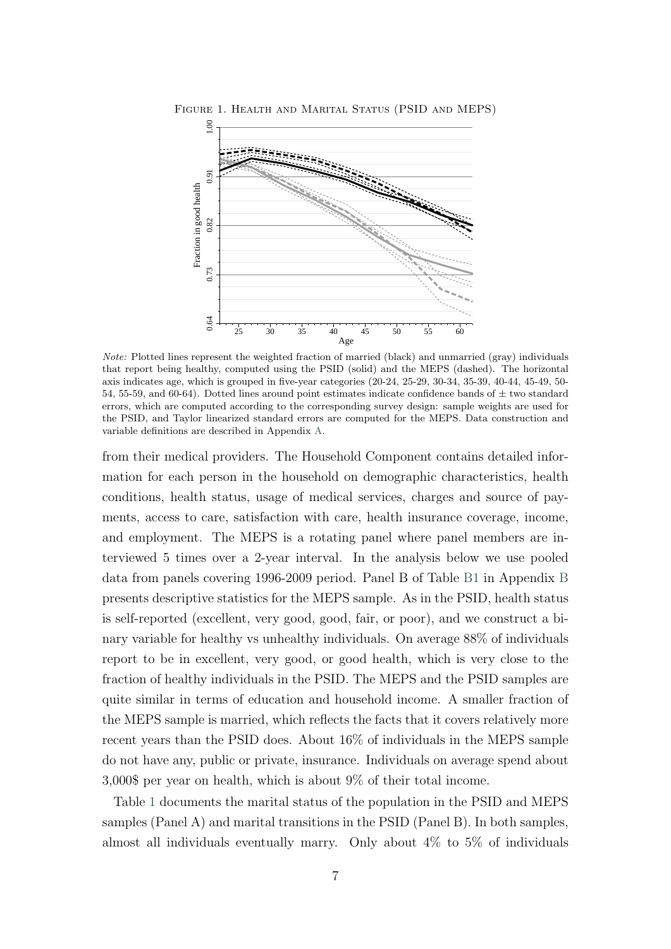

<span id="page-8-0"></span>Figure 1. Health and Marital Status (PSID and MEPS)

Note: Plotted lines represent the weighted fraction of married (black) and unmarried (gray) individuals that report being healthy, computed using the PSID (solid) and the MEPS (dashed). The horizontal axis indicates age, which is grouped in five-year categories (20-24, 25-29, 30-34, 35-39, 40-44, 45-49, 50- 54, 55-59, and 60-64). Dotted lines around point estimates indicate confidence bands of  $\pm$  two standard errors, which are computed according to the corresponding survey design: sample weights are used for the PSID, and Taylor linearized standard errors are computed for the MEPS. Data construction and variable definitions are described in Appendix [A.](#page-32-0)

from their medical providers. The Household Component contains detailed information for each person in the household on demographic characteristics, health conditions, health status, usage of medical services, charges and source of payments, access to care, satisfaction with care, health insurance coverage, income, and employment. The MEPS is a rotating panel where panel members are interviewed 5 times over a 2-year interval. In the analysis below we use pooled data from panels covering 1996-2009 period. Panel B of Table [B1](#page-36-0) in Appendix [B](#page-36-1) presents descriptive statistics for the MEPS sample. As in the PSID, health status is self-reported (excellent, very good, good, fair, or poor), and we construct a binary variable for healthy vs unhealthy individuals. On average 88% of individuals report to be in excellent, very good, or good health, which is very close to the fraction of healthy individuals in the PSID. The MEPS and the PSID samples are quite similar in terms of education and household income. A smaller fraction of the MEPS sample is married, which reflects the facts that it covers relatively more recent years than the PSID does. About 16% of individuals in the MEPS sample do not have any, public or private, insurance. Individuals on average spend about 3,000\$ per year on health, which is about 9% of their total income.

Table [1](#page-7-0) documents the marital status of the population in the PSID and MEPS samples (Panel A) and marital transitions in the PSID (Panel B). In both samples, almost all individuals eventually marry. Only about 4% to 5% of individuals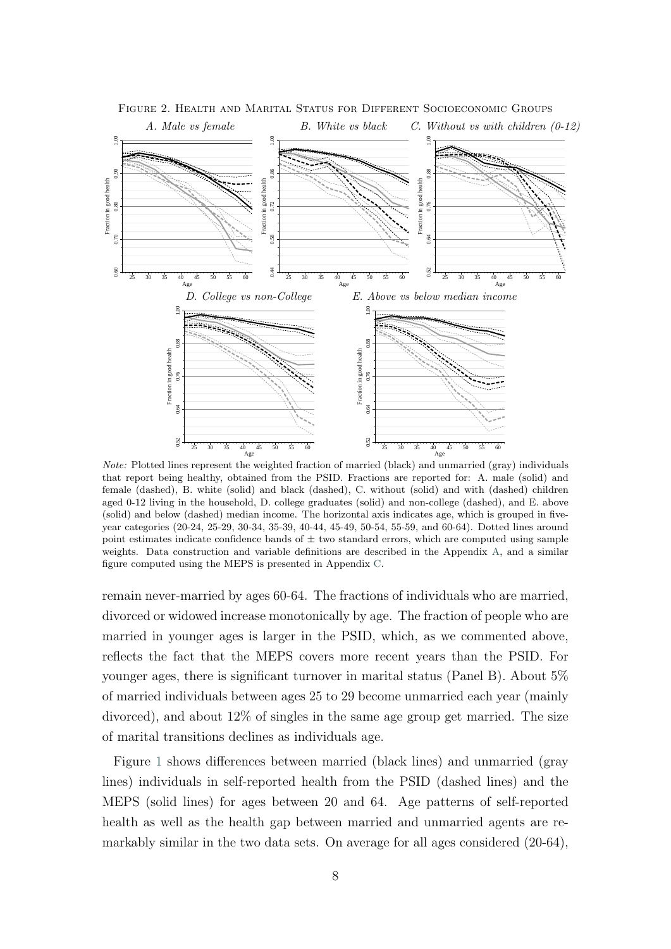

<span id="page-9-0"></span>Figure 2. Health and Marital Status for Different Socioeconomic Groups

Note: Plotted lines represent the weighted fraction of married (black) and unmarried (gray) individuals that report being healthy, obtained from the PSID. Fractions are reported for: A. male (solid) and female (dashed), B. white (solid) and black (dashed), C. without (solid) and with (dashed) children aged 0-12 living in the household, D. college graduates (solid) and non-college (dashed), and E. above (solid) and below (dashed) median income. The horizontal axis indicates age, which is grouped in fiveyear categories (20-24, 25-29, 30-34, 35-39, 40-44, 45-49, 50-54, 55-59, and 60-64). Dotted lines around point estimates indicate confidence bands of  $\pm$  two standard errors, which are computed using sample weights. Data construction and variable definitions are described in the Appendix [A,](#page-32-0) and a similar figure computed using the MEPS is presented in Appendix [C.](#page-38-0)

remain never-married by ages 60-64. The fractions of individuals who are married, divorced or widowed increase monotonically by age. The fraction of people who are married in younger ages is larger in the PSID, which, as we commented above, reflects the fact that the MEPS covers more recent years than the PSID. For younger ages, there is significant turnover in marital status (Panel B). About 5% of married individuals between ages 25 to 29 become unmarried each year (mainly divorced), and about 12% of singles in the same age group get married. The size of marital transitions declines as individuals age.

Figure [1](#page-8-0) shows differences between married (black lines) and unmarried (gray lines) individuals in self-reported health from the PSID (dashed lines) and the MEPS (solid lines) for ages between 20 and 64. Age patterns of self-reported health as well as the health gap between married and unmarried agents are remarkably similar in the two data sets. On average for all ages considered (20-64),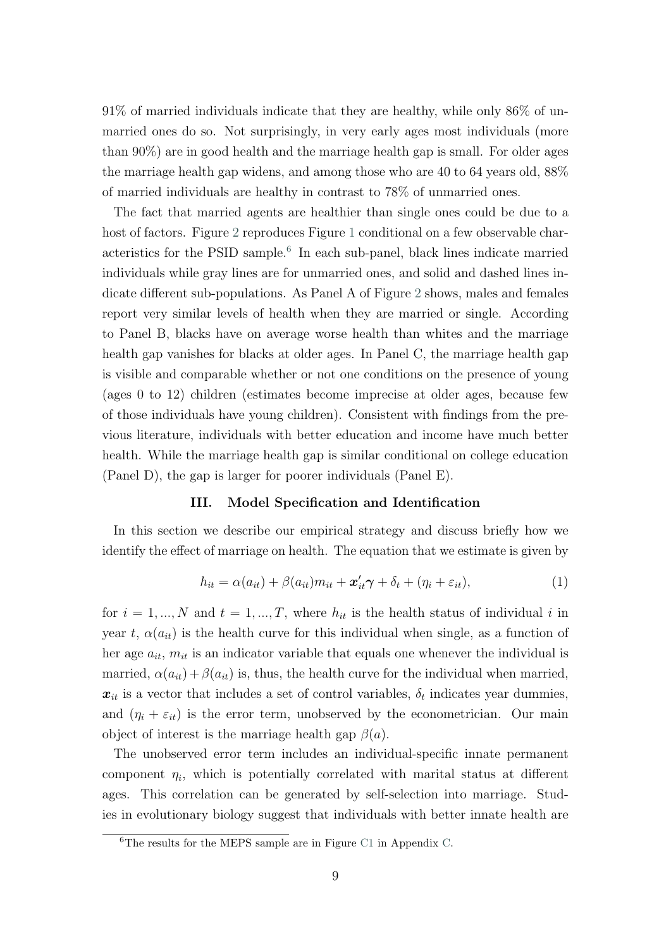91% of married individuals indicate that they are healthy, while only 86% of unmarried ones do so. Not surprisingly, in very early ages most individuals (more than 90%) are in good health and the marriage health gap is small. For older ages the marriage health gap widens, and among those who are 40 to 64 years old, 88% of married individuals are healthy in contrast to 78% of unmarried ones.

The fact that married agents are healthier than single ones could be due to a host of factors. Figure [2](#page-9-0) reproduces Figure [1](#page-8-0) conditional on a few observable char-acteristics for the PSID sample.<sup>[6](#page-10-0)</sup> In each sub-panel, black lines indicate married individuals while gray lines are for unmarried ones, and solid and dashed lines indicate different sub-populations. As Panel A of Figure [2](#page-9-0) shows, males and females report very similar levels of health when they are married or single. According to Panel B, blacks have on average worse health than whites and the marriage health gap vanishes for blacks at older ages. In Panel C, the marriage health gap is visible and comparable whether or not one conditions on the presence of young (ages 0 to 12) children (estimates become imprecise at older ages, because few of those individuals have young children). Consistent with findings from the previous literature, individuals with better education and income have much better health. While the marriage health gap is similar conditional on college education (Panel D), the gap is larger for poorer individuals (Panel E).

#### III. Model Specification and Identification

In this section we describe our empirical strategy and discuss briefly how we identify the effect of marriage on health. The equation that we estimate is given by

<span id="page-10-1"></span>
$$
h_{it} = \alpha(a_{it}) + \beta(a_{it})m_{it} + \mathbf{x}'_{it}\boldsymbol{\gamma} + \delta_t + (\eta_i + \varepsilon_{it}),
$$
\n(1)

for  $i = 1, ..., N$  and  $t = 1, ..., T$ , where  $h_{it}$  is the health status of individual i in year t,  $\alpha(a_{it})$  is the health curve for this individual when single, as a function of her age  $a_{it}$ ,  $m_{it}$  is an indicator variable that equals one whenever the individual is married,  $\alpha(a_{it}) + \beta(a_{it})$  is, thus, the health curve for the individual when married,  $x_{it}$  is a vector that includes a set of control variables,  $\delta_t$  indicates year dummies, and  $(\eta_i + \varepsilon_{it})$  is the error term, unobserved by the econometrician. Our main object of interest is the marriage health gap  $\beta(a)$ .

The unobserved error term includes an individual-specific innate permanent component  $\eta_i$ , which is potentially correlated with marital status at different ages. This correlation can be generated by self-selection into marriage. Studies in evolutionary biology suggest that individuals with better innate health are

<span id="page-10-0"></span><sup>6</sup>The results for the MEPS sample are in Figure [C1](#page-38-1) in Appendix [C.](#page-38-0)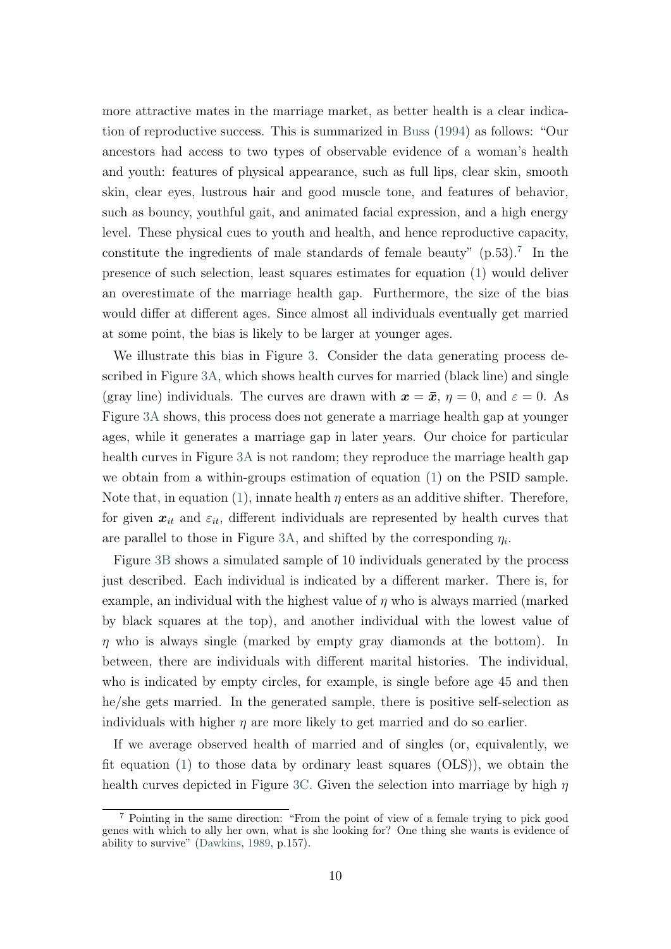more attractive mates in the marriage market, as better health is a clear indication of reproductive success. This is summarized in [Buss](#page-29-1) [\(1994\)](#page-29-1) as follows: "Our ancestors had access to two types of observable evidence of a woman's health and youth: features of physical appearance, such as full lips, clear skin, smooth skin, clear eyes, lustrous hair and good muscle tone, and features of behavior, such as bouncy, youthful gait, and animated facial expression, and a high energy level. These physical cues to youth and health, and hence reproductive capacity, constitute the ingredients of male standards of female beauty"  $(p.53)$ .<sup>[7](#page-11-0)</sup> In the presence of such selection, least squares estimates for equation [\(1\)](#page-10-1) would deliver an overestimate of the marriage health gap. Furthermore, the size of the bias would differ at different ages. Since almost all individuals eventually get married at some point, the bias is likely to be larger at younger ages.

We illustrate this bias in Figure [3.](#page-12-0) Consider the data generating process described in Figure [3A,](#page-12-1) which shows health curves for married (black line) and single (gray line) individuals. The curves are drawn with  $x = \bar{x}$ ,  $\eta = 0$ , and  $\varepsilon = 0$ . As Figure [3A](#page-12-1) shows, this process does not generate a marriage health gap at younger ages, while it generates a marriage gap in later years. Our choice for particular health curves in Figure [3A](#page-12-1) is not random; they reproduce the marriage health gap we obtain from a within-groups estimation of equation [\(1\)](#page-10-1) on the PSID sample. Note that, in equation [\(1\)](#page-10-1), innate health  $\eta$  enters as an additive shifter. Therefore, for given  $x_{it}$  and  $\varepsilon_{it}$ , different individuals are represented by health curves that are parallel to those in Figure [3A,](#page-12-1) and shifted by the corresponding  $\eta_i$ .

Figure [3B](#page-12-2) shows a simulated sample of 10 individuals generated by the process just described. Each individual is indicated by a different marker. There is, for example, an individual with the highest value of  $\eta$  who is always married (marked by black squares at the top), and another individual with the lowest value of  $\eta$  who is always single (marked by empty gray diamonds at the bottom). In between, there are individuals with different marital histories. The individual, who is indicated by empty circles, for example, is single before age 45 and then he/she gets married. In the generated sample, there is positive self-selection as individuals with higher  $\eta$  are more likely to get married and do so earlier.

If we average observed health of married and of singles (or, equivalently, we fit equation  $(1)$  to those data by ordinary least squares  $(OLS)$ , we obtain the health curves depicted in Figure [3C.](#page-12-3) Given the selection into marriage by high  $\eta$ 

<span id="page-11-0"></span><sup>7</sup> Pointing in the same direction: "From the point of view of a female trying to pick good genes with which to ally her own, what is she looking for? One thing she wants is evidence of ability to survive" [\(Dawkins,](#page-29-2) [1989,](#page-29-2) p.157).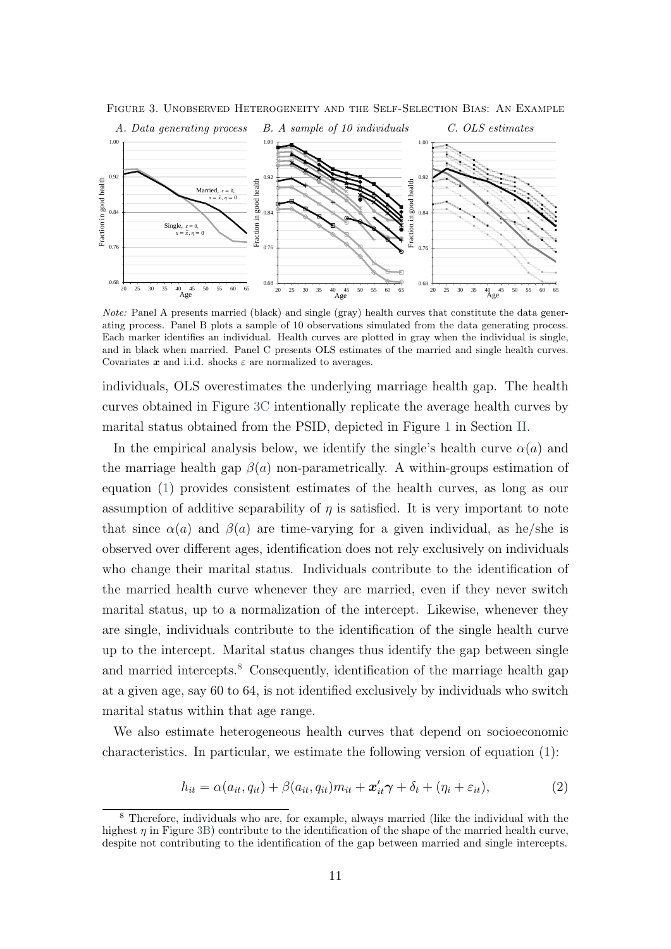<span id="page-12-1"></span>

<span id="page-12-3"></span><span id="page-12-2"></span><span id="page-12-0"></span>Figure 3. Unobserved Heterogeneity and the Self-Selection Bias: An Example

Note: Panel A presents married (black) and single (gray) health curves that constitute the data generating process. Panel B plots a sample of 10 observations simulated from the data generating process. Each marker identifies an individual. Health curves are plotted in gray when the individual is single, and in black when married. Panel C presents OLS estimates of the married and single health curves. Covariates  $x$  and i.i.d. shocks  $\varepsilon$  are normalized to averages.

individuals, OLS overestimates the underlying marriage health gap. The health curves obtained in Figure [3C](#page-12-3) intentionally replicate the average health curves by marital status obtained from the PSID, depicted in Figure [1](#page-8-0) in Section [II.](#page-6-1)

In the empirical analysis below, we identify the single's health curve  $\alpha(a)$  and the marriage health gap  $\beta(a)$  non-parametrically. A within-groups estimation of equation [\(1\)](#page-10-1) provides consistent estimates of the health curves, as long as our assumption of additive separability of  $\eta$  is satisfied. It is very important to note that since  $\alpha(a)$  and  $\beta(a)$  are time-varying for a given individual, as he/she is observed over different ages, identification does not rely exclusively on individuals who change their marital status. Individuals contribute to the identification of the married health curve whenever they are married, even if they never switch marital status, up to a normalization of the intercept. Likewise, whenever they are single, individuals contribute to the identification of the single health curve up to the intercept. Marital status changes thus identify the gap between single and married intercepts.<sup>[8](#page-12-4)</sup> Consequently, identification of the marriage health gap at a given age, say 60 to 64, is not identified exclusively by individuals who switch marital status within that age range.

We also estimate heterogeneous health curves that depend on socioeconomic characteristics. In particular, we estimate the following version of equation [\(1\)](#page-10-1):

<span id="page-12-5"></span>
$$
h_{it} = \alpha(a_{it}, q_{it}) + \beta(a_{it}, q_{it})m_{it} + \boldsymbol{x}'_{it}\boldsymbol{\gamma} + \delta_t + (\eta_i + \varepsilon_{it}),
$$
\n(2)

<span id="page-12-4"></span><sup>8</sup> Therefore, individuals who are, for example, always married (like the individual with the highest  $\eta$  in Figure [3B\)](#page-12-2) contribute to the identification of the shape of the married health curve, despite not contributing to the identification of the gap between married and single intercepts.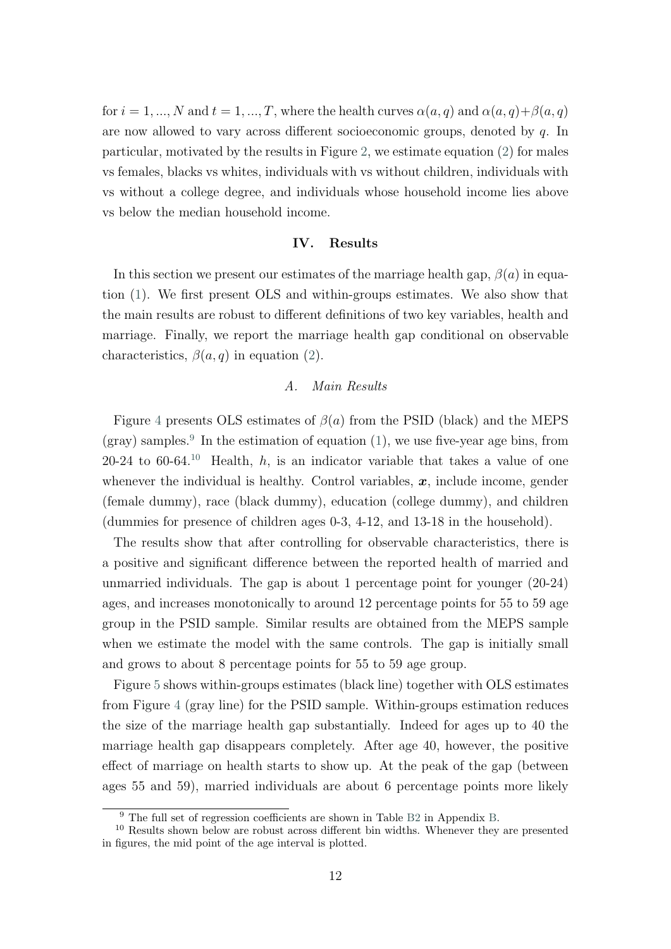for  $i = 1, ..., N$  and  $t = 1, ..., T$ , where the health curves  $\alpha(a, q)$  and  $\alpha(a, q) + \beta(a, q)$ are now allowed to vary across different socioeconomic groups, denoted by q. In particular, motivated by the results in Figure [2,](#page-9-0) we estimate equation [\(2\)](#page-12-5) for males vs females, blacks vs whites, individuals with vs without children, individuals with vs without a college degree, and individuals whose household income lies above vs below the median household income.

#### IV. Results

In this section we present our estimates of the marriage health gap,  $\beta(a)$  in equation [\(1\)](#page-10-1). We first present OLS and within-groups estimates. We also show that the main results are robust to different definitions of two key variables, health and marriage. Finally, we report the marriage health gap conditional on observable characteristics,  $\beta(a,q)$  in equation [\(2\)](#page-12-5).

#### A. Main Results

Figure [4](#page-14-0) presents OLS estimates of  $\beta(a)$  from the PSID (black) and the MEPS  $(gray)$  samples.<sup>[9](#page-13-0)</sup> In the estimation of equation [\(1\)](#page-10-1), we use five-year age bins, from 20-24 to 60-64.<sup>[10](#page-13-1)</sup> Health, h, is an indicator variable that takes a value of one whenever the individual is healthy. Control variables,  $x$ , include income, gender (female dummy), race (black dummy), education (college dummy), and children (dummies for presence of children ages 0-3, 4-12, and 13-18 in the household).

The results show that after controlling for observable characteristics, there is a positive and significant difference between the reported health of married and unmarried individuals. The gap is about 1 percentage point for younger (20-24) ages, and increases monotonically to around 12 percentage points for 55 to 59 age group in the PSID sample. Similar results are obtained from the MEPS sample when we estimate the model with the same controls. The gap is initially small and grows to about 8 percentage points for 55 to 59 age group.

Figure [5](#page-14-1) shows within-groups estimates (black line) together with OLS estimates from Figure [4](#page-14-0) (gray line) for the PSID sample. Within-groups estimation reduces the size of the marriage health gap substantially. Indeed for ages up to 40 the marriage health gap disappears completely. After age 40, however, the positive effect of marriage on health starts to show up. At the peak of the gap (between ages 55 and 59), married individuals are about 6 percentage points more likely

<span id="page-13-1"></span><span id="page-13-0"></span><sup>&</sup>lt;sup>9</sup> The full set of regression coefficients are shown in Table [B2](#page-37-0) in Appendix [B.](#page-36-1)

<sup>&</sup>lt;sup>10</sup> Results shown below are robust across different bin widths. Whenever they are presented in figures, the mid point of the age interval is plotted.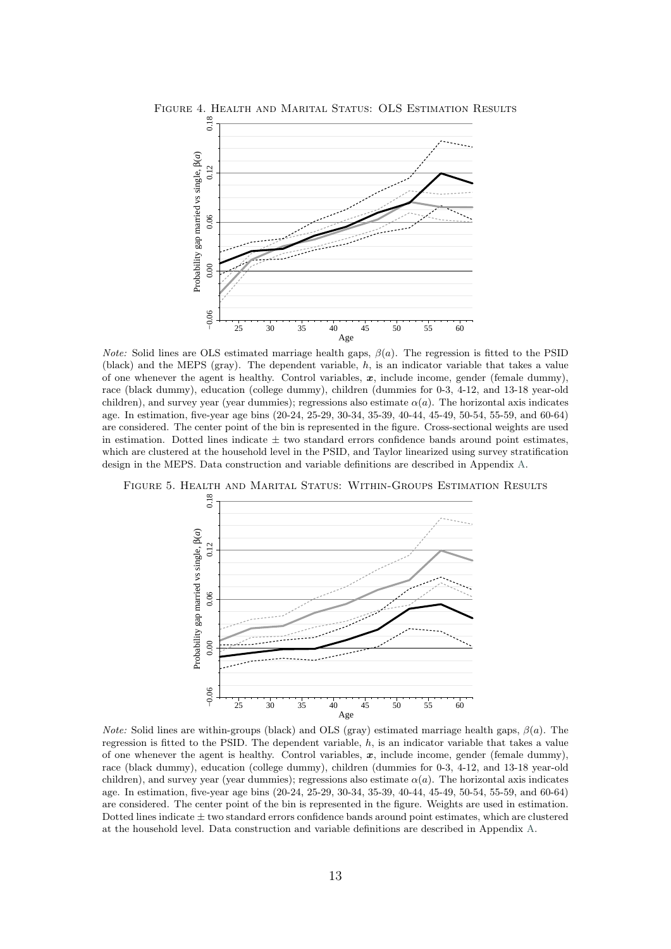<span id="page-14-0"></span>

*Note:* Solid lines are OLS estimated marriage health gaps,  $\beta(a)$ . The regression is fitted to the PSID (black) and the MEPS (gray). The dependent variable, h, is an indicator variable that takes a value of one whenever the agent is healthy. Control variables,  $x$ , include income, gender (female dummy), race (black dummy), education (college dummy), children (dummies for 0-3, 4-12, and 13-18 year-old children), and survey year (year dummies); regressions also estimate  $\alpha(a)$ . The horizontal axis indicates age. In estimation, five-year age bins (20-24, 25-29, 30-34, 35-39, 40-44, 45-49, 50-54, 55-59, and 60-64) are considered. The center point of the bin is represented in the figure. Cross-sectional weights are used in estimation. Dotted lines indicate  $\pm$  two standard errors confidence bands around point estimates, which are clustered at the household level in the PSID, and Taylor linearized using survey stratification design in the MEPS. Data construction and variable definitions are described in Appendix [A.](#page-32-0)

<span id="page-14-1"></span>Figure 5. Health and Marital Status: Within-Groups Estimation Results



*Note:* Solid lines are within-groups (black) and OLS (gray) estimated marriage health gaps,  $\beta(a)$ . The regression is fitted to the PSID. The dependent variable,  $h$ , is an indicator variable that takes a value of one whenever the agent is healthy. Control variables,  $x$ , include income, gender (female dummy), race (black dummy), education (college dummy), children (dummies for 0-3, 4-12, and 13-18 year-old children), and survey year (year dummies); regressions also estimate  $\alpha(a)$ . The horizontal axis indicates age. In estimation, five-year age bins (20-24, 25-29, 30-34, 35-39, 40-44, 45-49, 50-54, 55-59, and 60-64) are considered. The center point of the bin is represented in the figure. Weights are used in estimation. Dotted lines indicate  $\pm$  two standard errors confidence bands around point estimates, which are clustered at the household level. Data construction and variable definitions are described in Appendix [A.](#page-32-0)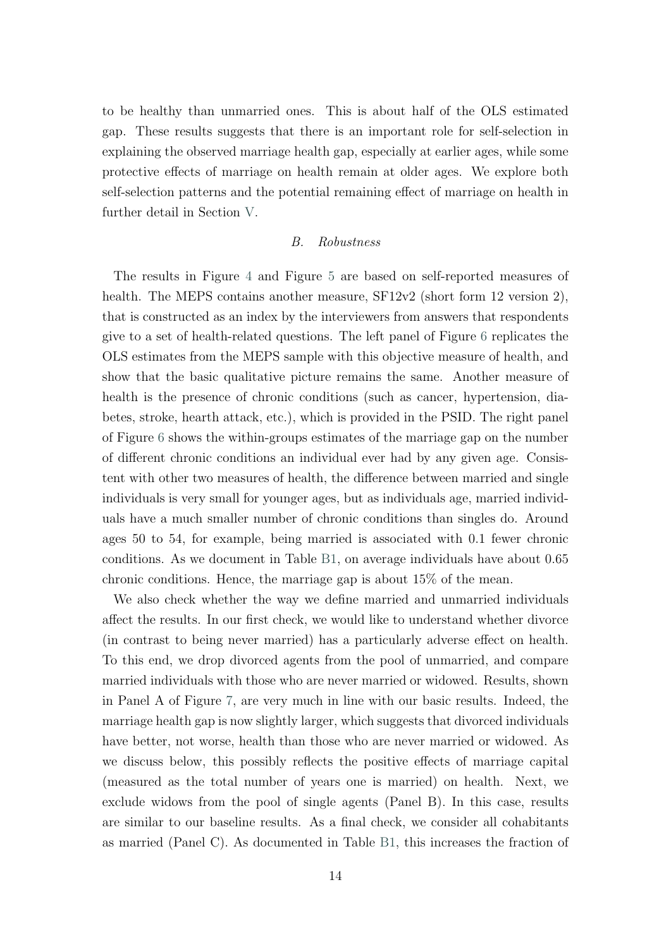to be healthy than unmarried ones. This is about half of the OLS estimated gap. These results suggests that there is an important role for self-selection in explaining the observed marriage health gap, especially at earlier ages, while some protective effects of marriage on health remain at older ages. We explore both self-selection patterns and the potential remaining effect of marriage on health in further detail in Section [V.](#page-18-0)

#### B. Robustness

The results in Figure [4](#page-14-0) and Figure [5](#page-14-1) are based on self-reported measures of health. The MEPS contains another measure,  $SF12v2$  (short form 12 version 2), that is constructed as an index by the interviewers from answers that respondents give to a set of health-related questions. The left panel of Figure [6](#page-16-0) replicates the OLS estimates from the MEPS sample with this objective measure of health, and show that the basic qualitative picture remains the same. Another measure of health is the presence of chronic conditions (such as cancer, hypertension, diabetes, stroke, hearth attack, etc.), which is provided in the PSID. The right panel of Figure [6](#page-16-0) shows the within-groups estimates of the marriage gap on the number of different chronic conditions an individual ever had by any given age. Consistent with other two measures of health, the difference between married and single individuals is very small for younger ages, but as individuals age, married individuals have a much smaller number of chronic conditions than singles do. Around ages 50 to 54, for example, being married is associated with 0.1 fewer chronic conditions. As we document in Table [B1,](#page-36-0) on average individuals have about 0.65 chronic conditions. Hence, the marriage gap is about 15% of the mean.

We also check whether the way we define married and unmarried individuals affect the results. In our first check, we would like to understand whether divorce (in contrast to being never married) has a particularly adverse effect on health. To this end, we drop divorced agents from the pool of unmarried, and compare married individuals with those who are never married or widowed. Results, shown in Panel A of Figure [7,](#page-16-1) are very much in line with our basic results. Indeed, the marriage health gap is now slightly larger, which suggests that divorced individuals have better, not worse, health than those who are never married or widowed. As we discuss below, this possibly reflects the positive effects of marriage capital (measured as the total number of years one is married) on health. Next, we exclude widows from the pool of single agents (Panel B). In this case, results are similar to our baseline results. As a final check, we consider all cohabitants as married (Panel C). As documented in Table [B1,](#page-36-0) this increases the fraction of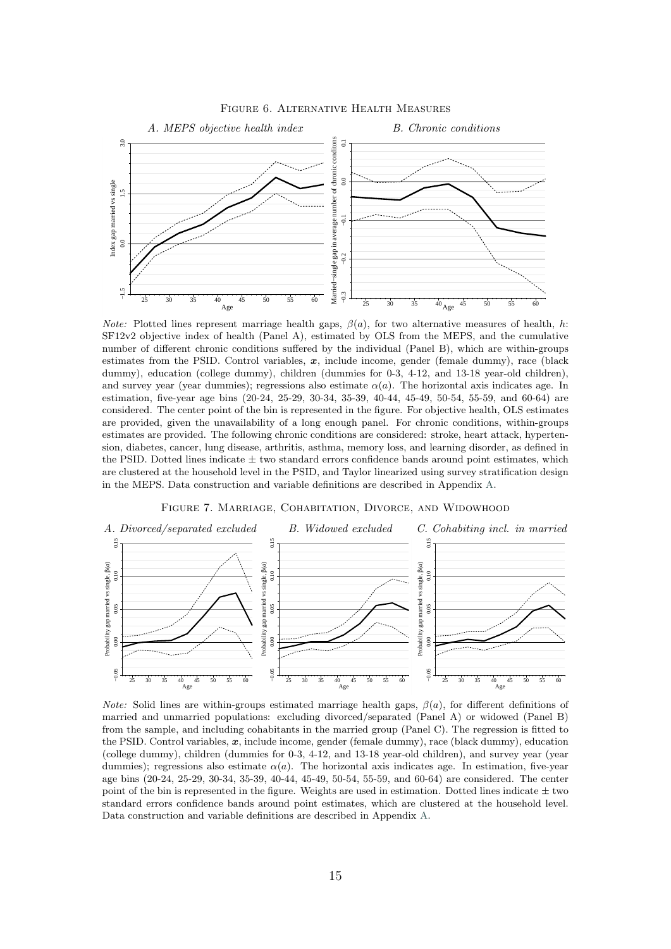<span id="page-16-0"></span>

Figure 6. Alternative Health Measures

*Note:* Plotted lines represent marriage health gaps,  $\beta(a)$ , for two alternative measures of health, h: SF12v2 objective index of health (Panel A), estimated by OLS from the MEPS, and the cumulative number of different chronic conditions suffered by the individual (Panel B), which are within-groups estimates from the PSID. Control variables,  $x$ , include income, gender (female dummy), race (black dummy), education (college dummy), children (dummies for 0-3, 4-12, and 13-18 year-old children), and survey year (year dummies); regressions also estimate  $\alpha(a)$ . The horizontal axis indicates age. In estimation, five-year age bins (20-24, 25-29, 30-34, 35-39, 40-44, 45-49, 50-54, 55-59, and 60-64) are considered. The center point of the bin is represented in the figure. For objective health, OLS estimates are provided, given the unavailability of a long enough panel. For chronic conditions, within-groups estimates are provided. The following chronic conditions are considered: stroke, heart attack, hypertension, diabetes, cancer, lung disease, arthritis, asthma, memory loss, and learning disorder, as defined in the PSID. Dotted lines indicate  $\pm$  two standard errors confidence bands around point estimates, which are clustered at the household level in the PSID, and Taylor linearized using survey stratification design in the MEPS. Data construction and variable definitions are described in Appendix [A.](#page-32-0)

#### Figure 7. Marriage, Cohabitation, Divorce, and Widowhood

<span id="page-16-1"></span>

*Note:* Solid lines are within-groups estimated marriage health gaps,  $\beta(a)$ , for different definitions of married and unmarried populations: excluding divorced/separated (Panel A) or widowed (Panel B) from the sample, and including cohabitants in the married group (Panel C). The regression is fitted to the PSID. Control variables,  $x$ , include income, gender (female dummy), race (black dummy), education (college dummy), children (dummies for 0-3, 4-12, and 13-18 year-old children), and survey year (year dummies); regressions also estimate  $\alpha(a)$ . The horizontal axis indicates age. In estimation, five-year age bins (20-24, 25-29, 30-34, 35-39, 40-44, 45-49, 50-54, 55-59, and 60-64) are considered. The center point of the bin is represented in the figure. Weights are used in estimation. Dotted lines indicate  $\pm$  two standard errors confidence bands around point estimates, which are clustered at the household level. Data construction and variable definitions are described in Appendix [A.](#page-32-0)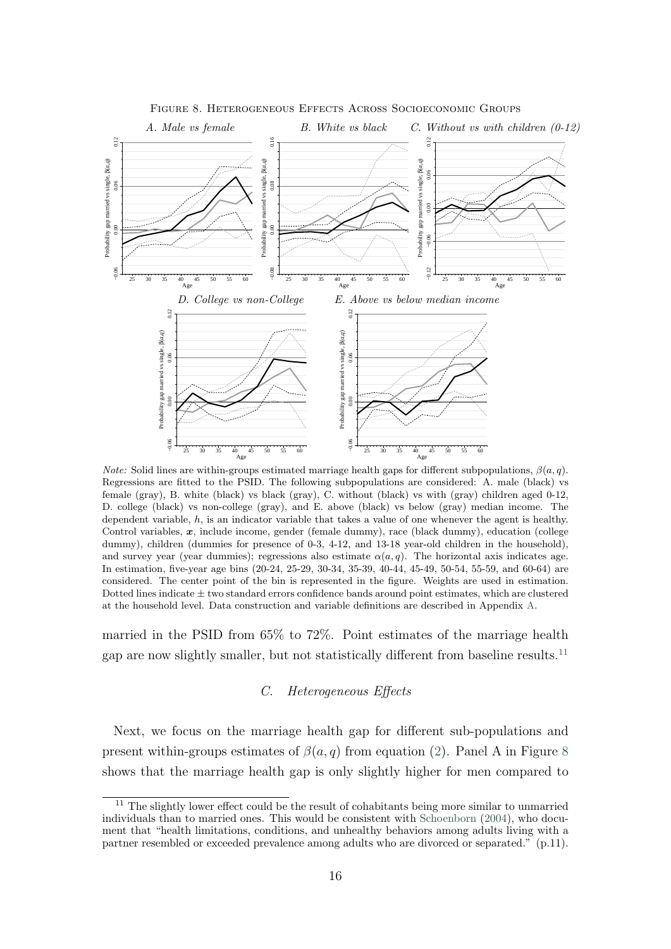<span id="page-17-1"></span>

Figure 8. Heterogeneous Effects Across Socioeconomic Groups

*Note:* Solid lines are within-groups estimated marriage health gaps for different subpopulations,  $\beta(a, q)$ . Regressions are fitted to the PSID. The following subpopulations are considered: A. male (black) vs female (gray), B. white (black) vs black (gray), C. without (black) vs with (gray) children aged 0-12, D. college (black) vs non-college (gray), and E. above (black) vs below (gray) median income. The dependent variable,  $h$ , is an indicator variable that takes a value of one whenever the agent is healthy. Control variables,  $x$ , include income, gender (female dummy), race (black dummy), education (college dummy), children (dummies for presence of 0-3, 4-12, and 13-18 year-old children in the household), and survey year (year dummies); regressions also estimate  $\alpha(a,q)$ . The horizontal axis indicates age. In estimation, five-year age bins (20-24, 25-29, 30-34, 35-39, 40-44, 45-49, 50-54, 55-59, and 60-64) are considered. The center point of the bin is represented in the figure. Weights are used in estimation. Dotted lines indicate  $\pm$  two standard errors confidence bands around point estimates, which are clustered at the household level. Data construction and variable definitions are described in Appendix [A.](#page-32-0)

married in the PSID from 65% to 72%. Point estimates of the marriage health gap are now slightly smaller, but not statistically different from baseline results.<sup>[11](#page-17-0)</sup>

#### C. Heterogeneous Effects

Next, we focus on the marriage health gap for different sub-populations and present within-groups estimates of  $\beta(a, q)$  from equation [\(2\)](#page-12-5). Panel A in Figure [8](#page-17-1) shows that the marriage health gap is only slightly higher for men compared to

<span id="page-17-0"></span> $11$  The slightly lower effect could be the result of cohabitants being more similar to unmarried individuals than to married ones. This would be consistent with [Schoenborn](#page-30-9) [\(2004\)](#page-30-9), who document that "health limitations, conditions, and unhealthy behaviors among adults living with a partner resembled or exceeded prevalence among adults who are divorced or separated." (p.11).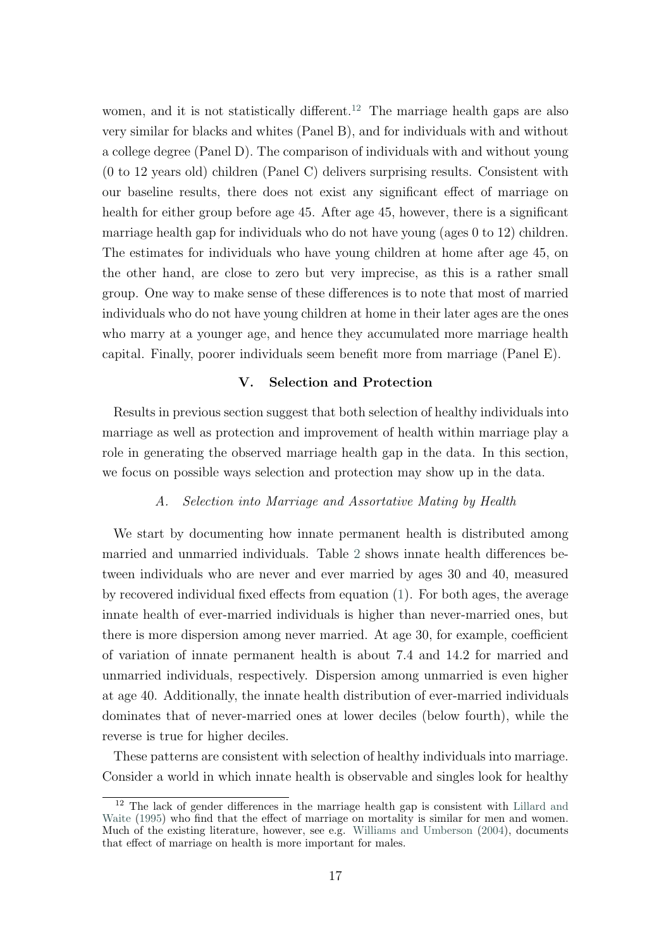women, and it is not statistically different.<sup>[12](#page-18-1)</sup> The marriage health gaps are also very similar for blacks and whites (Panel B), and for individuals with and without a college degree (Panel D). The comparison of individuals with and without young (0 to 12 years old) children (Panel C) delivers surprising results. Consistent with our baseline results, there does not exist any significant effect of marriage on health for either group before age 45. After age 45, however, there is a significant marriage health gap for individuals who do not have young (ages 0 to 12) children. The estimates for individuals who have young children at home after age 45, on the other hand, are close to zero but very imprecise, as this is a rather small group. One way to make sense of these differences is to note that most of married individuals who do not have young children at home in their later ages are the ones who marry at a younger age, and hence they accumulated more marriage health capital. Finally, poorer individuals seem benefit more from marriage (Panel E).

#### V. Selection and Protection

<span id="page-18-0"></span>Results in previous section suggest that both selection of healthy individuals into marriage as well as protection and improvement of health within marriage play a role in generating the observed marriage health gap in the data. In this section, we focus on possible ways selection and protection may show up in the data.

#### A. Selection into Marriage and Assortative Mating by Health

We start by documenting how innate permanent health is distributed among married and unmarried individuals. Table [2](#page-19-0) shows innate health differences between individuals who are never and ever married by ages 30 and 40, measured by recovered individual fixed effects from equation [\(1\)](#page-10-1). For both ages, the average innate health of ever-married individuals is higher than never-married ones, but there is more dispersion among never married. At age 30, for example, coefficient of variation of innate permanent health is about 7.4 and 14.2 for married and unmarried individuals, respectively. Dispersion among unmarried is even higher at age 40. Additionally, the innate health distribution of ever-married individuals dominates that of never-married ones at lower deciles (below fourth), while the reverse is true for higher deciles.

These patterns are consistent with selection of healthy individuals into marriage. Consider a world in which innate health is observable and singles look for healthy

<span id="page-18-1"></span> $12$  The lack of gender differences in the marriage health gap is consistent with [Lillard and](#page-30-10) [Waite](#page-30-10) [\(1995\)](#page-30-10) who find that the effect of marriage on mortality is similar for men and women. Much of the existing literature, however, see e.g. [Williams and Umberson](#page-31-5) [\(2004\)](#page-31-5), documents that effect of marriage on health is more important for males.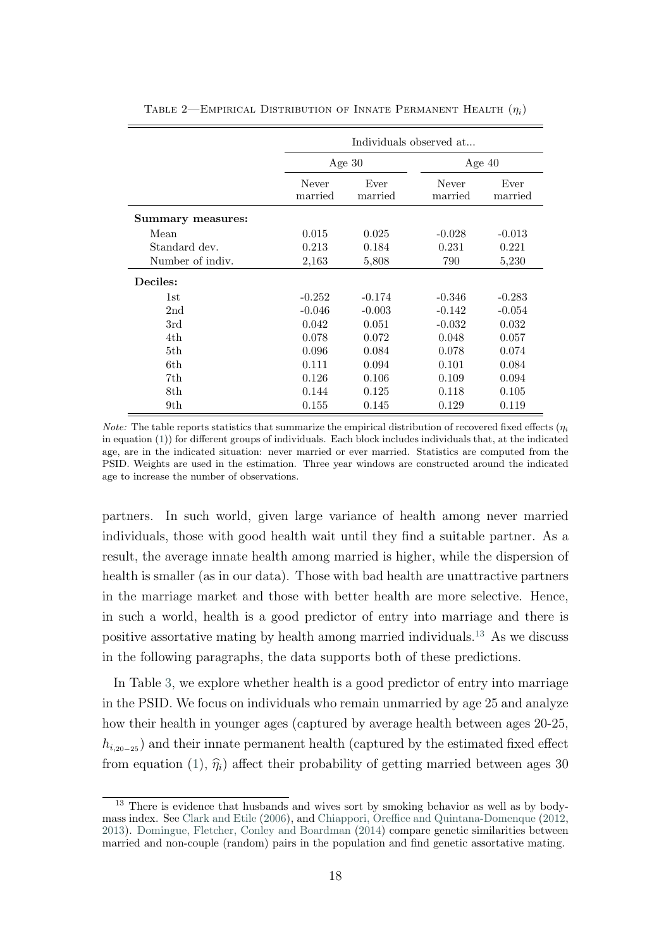|                   |                  | Individuals observed at |          |                 |  |  |  |
|-------------------|------------------|-------------------------|----------|-----------------|--|--|--|
|                   |                  | Age $30$                |          | Age $40$        |  |  |  |
|                   | Never<br>married | Ever<br>married         |          | Ever<br>married |  |  |  |
| Summary measures: |                  |                         |          |                 |  |  |  |
| Mean              | 0.015            | 0.025                   | $-0.028$ | $-0.013$        |  |  |  |
| Standard dev.     | 0.213            | 0.184                   | 0.231    | 0.221           |  |  |  |
| Number of indiv.  | 2,163            | 790<br>5,808            |          | 5,230           |  |  |  |
| Deciles:          |                  |                         |          |                 |  |  |  |
| 1st               | $-0.252$         | $-0.174$                | $-0.346$ | $-0.283$        |  |  |  |
| 2 <sub>nd</sub>   | $-0.046$         | $-0.003$                | $-0.142$ | $-0.054$        |  |  |  |
| 3rd               | 0.042            | 0.051                   | $-0.032$ | 0.032           |  |  |  |
| 4th               | 0.078            | 0.072                   | 0.048    | 0.057           |  |  |  |
| 5th.              | 0.096            | 0.084                   | 0.078    | 0.074           |  |  |  |
| 6th               | 0.111            | 0.094                   | 0.101    | 0.084           |  |  |  |
| 7th.              | 0.126            | 0.106                   | 0.109    | 0.094           |  |  |  |
| 8th               | 0.144            | 0.125                   | 0.118    | 0.105           |  |  |  |
| 9th               | 0.155            | 0.145                   | 0.129    | 0.119           |  |  |  |

<span id="page-19-0"></span>TABLE 2—EMPIRICAL DISTRIBUTION OF INNATE PERMANENT HEALTH  $(\eta_i)$ 

*Note:* The table reports statistics that summarize the empirical distribution of recovered fixed effects  $(\eta_i)$ in equation [\(1\)](#page-10-1)) for different groups of individuals. Each block includes individuals that, at the indicated age, are in the indicated situation: never married or ever married. Statistics are computed from the PSID. Weights are used in the estimation. Three year windows are constructed around the indicated age to increase the number of observations.

partners. In such world, given large variance of health among never married individuals, those with good health wait until they find a suitable partner. As a result, the average innate health among married is higher, while the dispersion of health is smaller (as in our data). Those with bad health are unattractive partners in the marriage market and those with better health are more selective. Hence, in such a world, health is a good predictor of entry into marriage and there is positive assortative mating by health among married individuals.[13](#page-19-1) As we discuss in the following paragraphs, the data supports both of these predictions.

In Table [3,](#page-20-0) we explore whether health is a good predictor of entry into marriage in the PSID. We focus on individuals who remain unmarried by age 25 and analyze how their health in younger ages (captured by average health between ages 20-25,  $h_{i,20-25}$ ) and their innate permanent health (captured by the estimated fixed effect from equation [\(1\)](#page-10-1),  $\hat{\eta}_i$ ) affect their probability of getting married between ages 30

<span id="page-19-1"></span><sup>&</sup>lt;sup>13</sup> There is evidence that husbands and wives sort by smoking behavior as well as by bodymass index. See [Clark and Etile](#page-29-7) [\(2006\)](#page-29-7), and [Chiappori, Oreffice and Quintana-Domenque](#page-29-8) [\(2012,](#page-29-8) [2013\)](#page-29-9). [Domingue, Fletcher, Conley and Boardman](#page-29-10) [\(2014\)](#page-29-10) compare genetic similarities between married and non-couple (random) pairs in the population and find genetic assortative mating.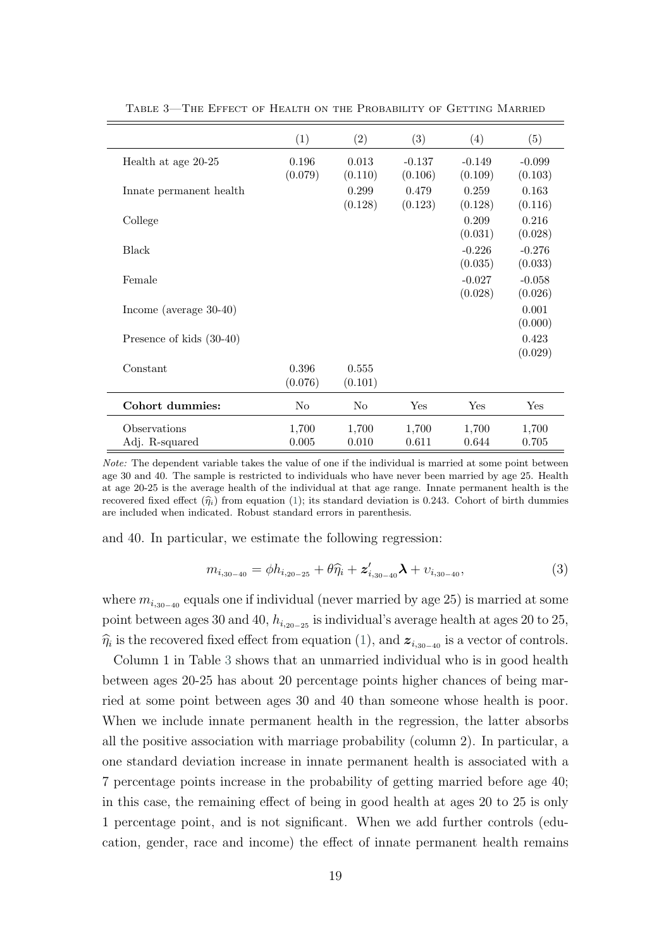|                           | (1)     | (2)     | (3)      | (4)      | (5)      |
|---------------------------|---------|---------|----------|----------|----------|
| Health at age 20-25       | 0.196   | 0.013   | $-0.137$ | $-0.149$ | $-0.099$ |
|                           | (0.079) | (0.110) | (0.106)  | (0.109)  | (0.103)  |
| Innate permanent health   |         | 0.299   | 0.479    | 0.259    | 0.163    |
|                           |         | (0.128) | (0.123)  | (0.128)  | (0.116)  |
| College                   |         |         |          | 0.209    | 0.216    |
|                           |         |         |          | (0.031)  | (0.028)  |
| Black                     |         |         |          | $-0.226$ | $-0.276$ |
|                           |         |         |          | (0.035)  | (0.033)  |
| Female                    |         |         |          | $-0.027$ | $-0.058$ |
|                           |         |         |          | (0.028)  | (0.026)  |
| Income (average $30-40$ ) |         |         |          |          | 0.001    |
|                           |         |         |          |          | (0.000)  |
| Presence of kids (30-40)  |         |         |          |          | 0.423    |
|                           |         |         |          |          | (0.029)  |
|                           |         |         |          |          |          |
| Constant                  | 0.396   | 0.555   |          |          |          |
|                           | (0.076) | (0.101) |          |          |          |
| Cohort dummies:           | No      | No      | Yes      | Yes      | Yes      |
| Observations              | 1,700   | 1,700   | 1,700    | 1,700    | 1,700    |
| Adj. R-squared            | 0.005   | 0.010   | 0.611    | 0.644    | 0.705    |

<span id="page-20-0"></span>Table 3—The Effect of Health on the Probability of Getting Married

Note: The dependent variable takes the value of one if the individual is married at some point between age 30 and 40. The sample is restricted to individuals who have never been married by age 25. Health at age 20-25 is the average health of the individual at that age range. Innate permanent health is the recovered fixed effect  $(\hat{\eta}_i)$  from equation [\(1\)](#page-10-1); its standard deviation is 0.243. Cohort of birth dummies are included when indicated. Robust standard errors in parenthesis.

and 40. In particular, we estimate the following regression:

$$
m_{i,30-40} = \phi h_{i,20-25} + \theta \hat{\eta}_i + z'_{i,30-40} \lambda + \upsilon_{i,30-40},
$$
\n(3)

where  $m_{i,30-40}$  equals one if individual (never married by age 25) is married at some point between ages 30 and 40,  $h_{i,20-25}$  is individual's average health at ages 20 to 25,  $\hat{\eta}_i$  is the recovered fixed effect from equation [\(1\)](#page-10-1), and  $z_{i,30-40}$  is a vector of controls.

Column 1 in Table [3](#page-20-0) shows that an unmarried individual who is in good health between ages 20-25 has about 20 percentage points higher chances of being married at some point between ages 30 and 40 than someone whose health is poor. When we include innate permanent health in the regression, the latter absorbs all the positive association with marriage probability (column 2). In particular, a one standard deviation increase in innate permanent health is associated with a 7 percentage points increase in the probability of getting married before age 40; in this case, the remaining effect of being in good health at ages 20 to 25 is only 1 percentage point, and is not significant. When we add further controls (education, gender, race and income) the effect of innate permanent health remains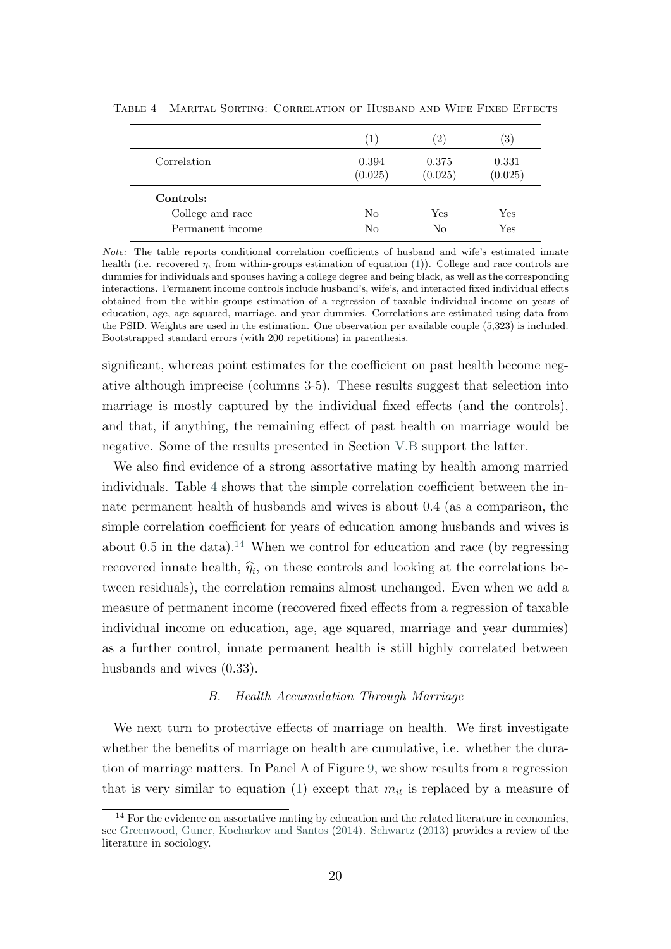|                  | (1)              | $\left( 2\right)$ | $\left[3\right]$ |
|------------------|------------------|-------------------|------------------|
| Correlation      | 0.394<br>(0.025) | 0.375<br>(0.025)  | 0.331<br>(0.025) |
| Controls:        |                  |                   |                  |
| College and race | No               | Yes               | $_{\rm Yes}$     |
| Permanent income | No               | No                | Yes              |

<span id="page-21-1"></span>Table 4—Marital Sorting: Correlation of Husband and Wife Fixed Effects

Note: The table reports conditional correlation coefficients of husband and wife's estimated innate health (i.e. recovered  $\eta_i$  from within-groups estimation of equation [\(1\)](#page-10-1)). College and race controls are dummies for individuals and spouses having a college degree and being black, as well as the corresponding interactions. Permanent income controls include husband's, wife's, and interacted fixed individual effects obtained from the within-groups estimation of a regression of taxable individual income on years of education, age, age squared, marriage, and year dummies. Correlations are estimated using data from the PSID. Weights are used in the estimation. One observation per available couple (5,323) is included. Bootstrapped standard errors (with 200 repetitions) in parenthesis.

significant, whereas point estimates for the coefficient on past health become negative although imprecise (columns 3-5). These results suggest that selection into marriage is mostly captured by the individual fixed effects (and the controls), and that, if anything, the remaining effect of past health on marriage would be negative. Some of the results presented in Section [V.B](#page-21-0) support the latter.

We also find evidence of a strong assortative mating by health among married individuals. Table [4](#page-21-1) shows that the simple correlation coefficient between the innate permanent health of husbands and wives is about 0.4 (as a comparison, the simple correlation coefficient for years of education among husbands and wives is about 0.5 in the data).<sup>[14](#page-21-2)</sup> When we control for education and race (by regressing recovered innate health,  $\hat{\eta}_i$ , on these controls and looking at the correlations between residuals), the correlation remains almost unchanged. Even when we add a measure of permanent income (recovered fixed effects from a regression of taxable individual income on education, age, age squared, marriage and year dummies) as a further control, innate permanent health is still highly correlated between husbands and wives (0.33).

#### B. Health Accumulation Through Marriage

<span id="page-21-0"></span>We next turn to protective effects of marriage on health. We first investigate whether the benefits of marriage on health are cumulative, i.e. whether the duration of marriage matters. In Panel A of Figure [9,](#page-22-0) we show results from a regression that is very similar to equation [\(1\)](#page-10-1) except that  $m_{it}$  is replaced by a measure of

<span id="page-21-2"></span><sup>&</sup>lt;sup>14</sup> For the evidence on assortative mating by education and the related literature in economics, see [Greenwood, Guner, Kocharkov and Santos](#page-30-11) [\(2014\)](#page-30-11). [Schwartz](#page-31-6) [\(2013\)](#page-31-6) provides a review of the literature in sociology.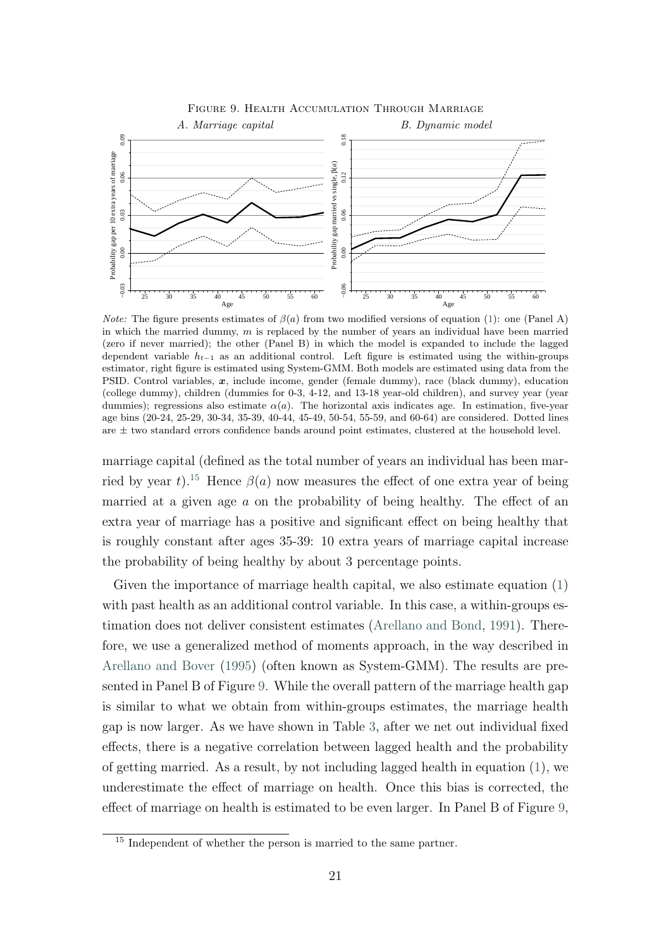<span id="page-22-0"></span>

*Note:* The figure presents estimates of  $\beta(a)$  from two modified versions of equation [\(1\)](#page-10-1): one (Panel A) in which the married dummy,  $m$  is replaced by the number of years an individual have been married (zero if never married); the other (Panel B) in which the model is expanded to include the lagged dependent variable  $h_{t-1}$  as an additional control. Left figure is estimated using the within-groups estimator, right figure is estimated using System-GMM. Both models are estimated using data from the PSID. Control variables, x, include income, gender (female dummy), race (black dummy), education (college dummy), children (dummies for 0-3, 4-12, and 13-18 year-old children), and survey year (year dummies); regressions also estimate  $\alpha(a)$ . The horizontal axis indicates age. In estimation, five-year age bins (20-24, 25-29, 30-34, 35-39, 40-44, 45-49, 50-54, 55-59, and 60-64) are considered. Dotted lines are  $\pm$  two standard errors confidence bands around point estimates, clustered at the household level.

marriage capital (defined as the total number of years an individual has been mar-ried by year t).<sup>[15](#page-22-1)</sup> Hence  $\beta(a)$  now measures the effect of one extra year of being married at a given age  $a$  on the probability of being healthy. The effect of an extra year of marriage has a positive and significant effect on being healthy that is roughly constant after ages 35-39: 10 extra years of marriage capital increase the probability of being healthy by about 3 percentage points.

Given the importance of marriage health capital, we also estimate equation [\(1\)](#page-10-1) with past health as an additional control variable. In this case, a within-groups estimation does not deliver consistent estimates [\(Arellano and Bond,](#page-28-1) [1991\)](#page-28-1). Therefore, we use a generalized method of moments approach, in the way described in [Arellano and Bover](#page-28-2) [\(1995\)](#page-28-2) (often known as System-GMM). The results are presented in Panel B of Figure [9.](#page-22-0) While the overall pattern of the marriage health gap is similar to what we obtain from within-groups estimates, the marriage health gap is now larger. As we have shown in Table [3,](#page-20-0) after we net out individual fixed effects, there is a negative correlation between lagged health and the probability of getting married. As a result, by not including lagged health in equation [\(1\)](#page-10-1), we underestimate the effect of marriage on health. Once this bias is corrected, the effect of marriage on health is estimated to be even larger. In Panel B of Figure [9,](#page-22-0)

<span id="page-22-1"></span><sup>&</sup>lt;sup>15</sup> Independent of whether the person is married to the same partner.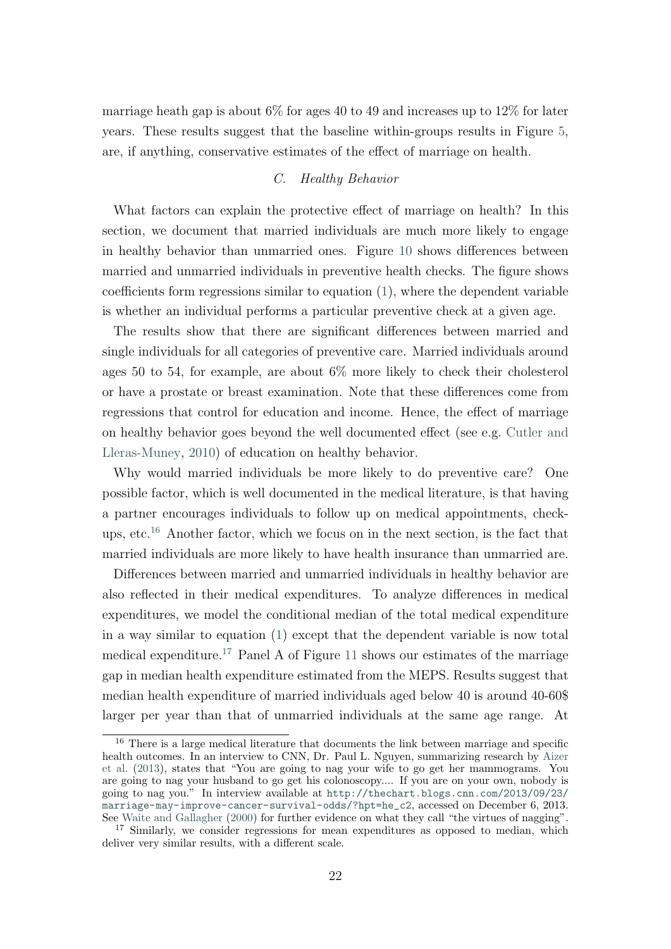marriage heath gap is about 6% for ages 40 to 49 and increases up to 12% for later years. These results suggest that the baseline within-groups results in Figure [5,](#page-14-1) are, if anything, conservative estimates of the effect of marriage on health.

#### C. Healthy Behavior

What factors can explain the protective effect of marriage on health? In this section, we document that married individuals are much more likely to engage in healthy behavior than unmarried ones. Figure [10](#page-24-0) shows differences between married and unmarried individuals in preventive health checks. The figure shows coefficients form regressions similar to equation [\(1\)](#page-10-1), where the dependent variable is whether an individual performs a particular preventive check at a given age.

The results show that there are significant differences between married and single individuals for all categories of preventive care. Married individuals around ages 50 to 54, for example, are about 6% more likely to check their cholesterol or have a prostate or breast examination. Note that these differences come from regressions that control for education and income. Hence, the effect of marriage on healthy behavior goes beyond the well documented effect (see e.g. [Cutler and](#page-29-3) [Lleras-Muney,](#page-29-3) [2010\)](#page-29-3) of education on healthy behavior.

Why would married individuals be more likely to do preventive care? One possible factor, which is well documented in the medical literature, is that having a partner encourages individuals to follow up on medical appointments, checkups, etc.[16](#page-23-0) Another factor, which we focus on in the next section, is the fact that married individuals are more likely to have health insurance than unmarried are.

Differences between married and unmarried individuals in healthy behavior are also reflected in their medical expenditures. To analyze differences in medical expenditures, we model the conditional median of the total medical expenditure in a way similar to equation [\(1\)](#page-10-1) except that the dependent variable is now total medical expenditure.<sup>[17](#page-23-1)</sup> Panel A of Figure [11](#page-25-0) shows our estimates of the marriage gap in median health expenditure estimated from the MEPS. Results suggest that median health expenditure of married individuals aged below 40 is around 40-60\$ larger per year than that of unmarried individuals at the same age range. At

<span id="page-23-0"></span><sup>16</sup> There is a large medical literature that documents the link between marriage and specific health outcomes. In an interview to CNN, Dr. Paul L. Nguyen, summarizing research by [Aizer](#page-28-3) [et al.](#page-28-3) [\(2013\)](#page-28-3), states that "You are going to nag your wife to go get her mammograms. You are going to nag your husband to go get his colonoscopy.... If you are on your own, nobody is going to nag you." In interview available at [http://thechart.blogs.cnn.com/2013/09/23/](http://thechart.blogs.cnn.com/2013/09/23/marriage-may-improve-cancer-survival-odds/?hpt=he_c2) [marriage-may-improve-cancer-survival-odds/?hpt=he\\_c2](http://thechart.blogs.cnn.com/2013/09/23/marriage-may-improve-cancer-survival-odds/?hpt=he_c2), accessed on December 6, 2013. See [Waite and Gallagher](#page-31-0) [\(2000\)](#page-31-0) for further evidence on what they call "the virtues of nagging".

<span id="page-23-1"></span><sup>&</sup>lt;sup>17</sup> Similarly, we consider regressions for mean expenditures as opposed to median, which deliver very similar results, with a different scale.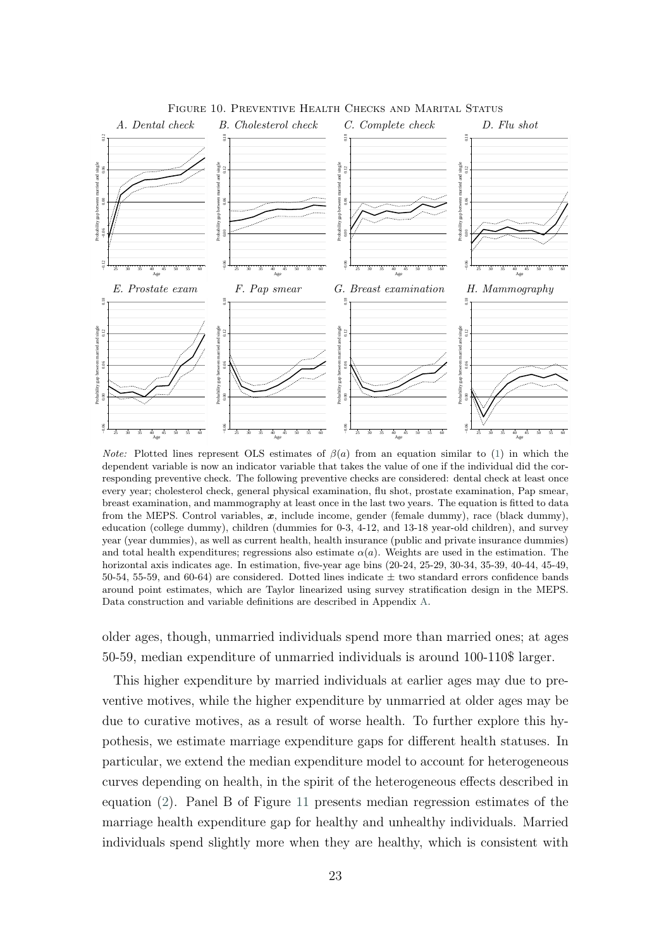<span id="page-24-0"></span>

Figure 10. Preventive Health Checks and Marital Status

*Note:* Plotted lines represent OLS estimates of  $\beta(a)$  from an equation similar to [\(1\)](#page-10-1) in which the dependent variable is now an indicator variable that takes the value of one if the individual did the corresponding preventive check. The following preventive checks are considered: dental check at least once every year; cholesterol check, general physical examination, flu shot, prostate examination, Pap smear, breast examination, and mammography at least once in the last two years. The equation is fitted to data from the MEPS. Control variables,  $x$ , include income, gender (female dummy), race (black dummy), education (college dummy), children (dummies for 0-3, 4-12, and 13-18 year-old children), and survey year (year dummies), as well as current health, health insurance (public and private insurance dummies) and total health expenditures; regressions also estimate  $\alpha(a)$ . Weights are used in the estimation. The horizontal axis indicates age. In estimation, five-year age bins (20-24, 25-29, 30-34, 35-39, 40-44, 45-49, 50-54, 55-59, and 60-64) are considered. Dotted lines indicate  $\pm$  two standard errors confidence bands around point estimates, which are Taylor linearized using survey stratification design in the MEPS. Data construction and variable definitions are described in Appendix [A.](#page-32-0)

older ages, though, unmarried individuals spend more than married ones; at ages 50-59, median expenditure of unmarried individuals is around 100-110\$ larger.

This higher expenditure by married individuals at earlier ages may due to preventive motives, while the higher expenditure by unmarried at older ages may be due to curative motives, as a result of worse health. To further explore this hypothesis, we estimate marriage expenditure gaps for different health statuses. In particular, we extend the median expenditure model to account for heterogeneous curves depending on health, in the spirit of the heterogeneous effects described in equation [\(2\)](#page-12-5). Panel B of Figure [11](#page-25-0) presents median regression estimates of the marriage health expenditure gap for healthy and unhealthy individuals. Married individuals spend slightly more when they are healthy, which is consistent with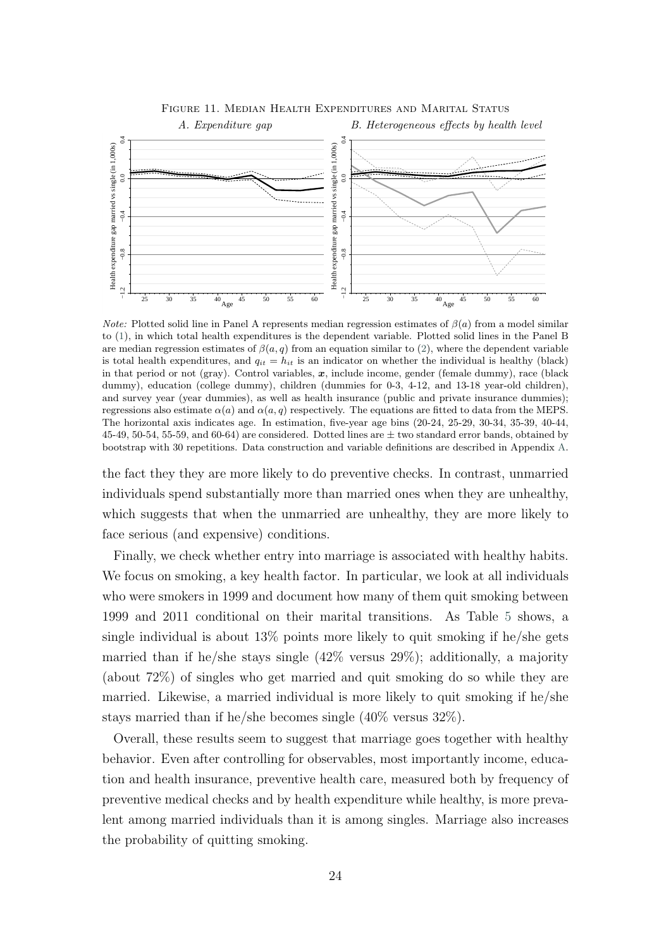<span id="page-25-0"></span>

Figure 11. Median Health Expenditures and Marital Status

*Note:* Plotted solid line in Panel A represents median regression estimates of  $\beta(a)$  from a model similar to [\(1\)](#page-10-1), in which total health expenditures is the dependent variable. Plotted solid lines in the Panel B are median regression estimates of  $\beta(a, q)$  from an equation similar to [\(2\)](#page-12-5), where the dependent variable is total health expenditures, and  $q_{it} = h_{it}$  is an indicator on whether the individual is healthy (black) in that period or not (gray). Control variables,  $x$ , include income, gender (female dummy), race (black dummy), education (college dummy), children (dummies for 0-3, 4-12, and 13-18 year-old children), and survey year (year dummies), as well as health insurance (public and private insurance dummies); regressions also estimate  $\alpha(a)$  and  $\alpha(a, q)$  respectively. The equations are fitted to data from the MEPS. The horizontal axis indicates age. In estimation, five-year age bins (20-24, 25-29, 30-34, 35-39, 40-44, 45-49, 50-54, 55-59, and 60-64) are considered. Dotted lines are  $\pm$  two standard error bands, obtained by bootstrap with 30 repetitions. Data construction and variable definitions are described in Appendix [A.](#page-32-0)

the fact they they are more likely to do preventive checks. In contrast, unmarried individuals spend substantially more than married ones when they are unhealthy, which suggests that when the unmarried are unhealthy, they are more likely to face serious (and expensive) conditions.

Finally, we check whether entry into marriage is associated with healthy habits. We focus on smoking, a key health factor. In particular, we look at all individuals who were smokers in 1999 and document how many of them quit smoking between 1999 and 2011 conditional on their marital transitions. As Table [5](#page-26-0) shows, a single individual is about 13% points more likely to quit smoking if he/she gets married than if he/she stays single (42% versus 29%); additionally, a majority (about 72%) of singles who get married and quit smoking do so while they are married. Likewise, a married individual is more likely to quit smoking if he/she stays married than if he/she becomes single (40% versus 32%).

Overall, these results seem to suggest that marriage goes together with healthy behavior. Even after controlling for observables, most importantly income, education and health insurance, preventive health care, measured both by frequency of preventive medical checks and by health expenditure while healthy, is more prevalent among married individuals than it is among singles. Marriage also increases the probability of quitting smoking.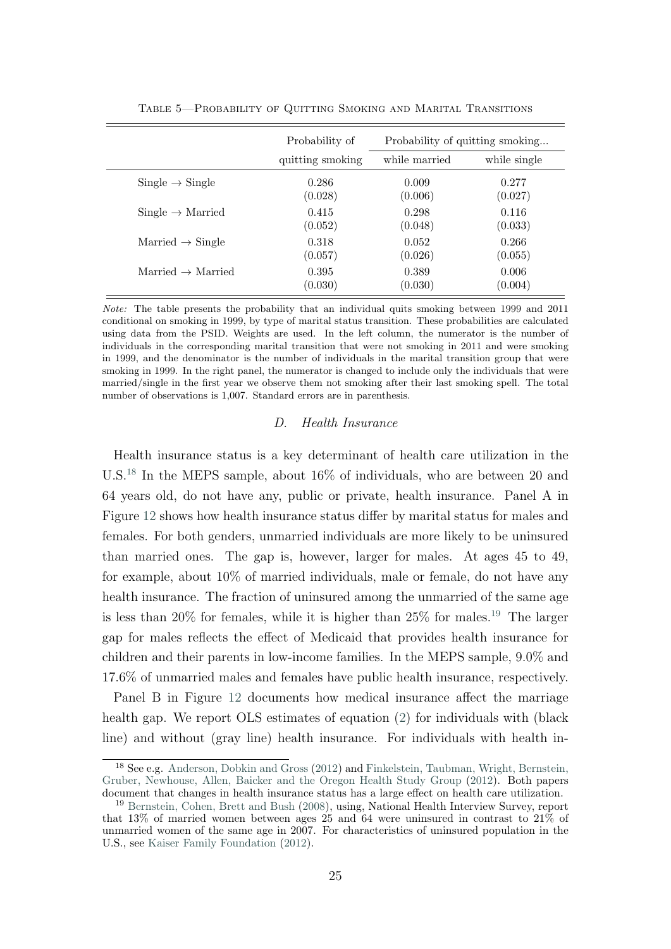<span id="page-26-0"></span>

|                               | Probability of   | Probability of quitting smoking |              |  |  |
|-------------------------------|------------------|---------------------------------|--------------|--|--|
|                               | quitting smoking | while married                   | while single |  |  |
| $Single \rightarrow Single$   | 0.286            | 0.009                           | 0.277        |  |  |
|                               | (0.028)          | (0.006)                         | (0.027)      |  |  |
| $Single \rightarrow Married$  | 0.415            | 0.298                           | 0.116        |  |  |
|                               | (0.052)          | (0.048)                         | (0.033)      |  |  |
| Married $\rightarrow$ Single  | 0.318            | 0.052                           | 0.266        |  |  |
|                               | (0.057)          | (0.026)                         | (0.055)      |  |  |
| Married $\rightarrow$ Married | 0.395            | 0.389                           | 0.006        |  |  |
|                               | (0.030)          | (0.030)                         | (0.004)      |  |  |

Note: The table presents the probability that an individual quits smoking between 1999 and 2011 conditional on smoking in 1999, by type of marital status transition. These probabilities are calculated using data from the PSID. Weights are used. In the left column, the numerator is the number of individuals in the corresponding marital transition that were not smoking in 2011 and were smoking in 1999, and the denominator is the number of individuals in the marital transition group that were smoking in 1999. In the right panel, the numerator is changed to include only the individuals that were married/single in the first year we observe them not smoking after their last smoking spell. The total number of observations is 1,007. Standard errors are in parenthesis.

#### D. Health Insurance

Health insurance status is a key determinant of health care utilization in the U.S.[18](#page-26-1) In the MEPS sample, about 16% of individuals, who are between 20 and 64 years old, do not have any, public or private, health insurance. Panel A in Figure [12](#page-27-0) shows how health insurance status differ by marital status for males and females. For both genders, unmarried individuals are more likely to be uninsured than married ones. The gap is, however, larger for males. At ages 45 to 49, for example, about 10% of married individuals, male or female, do not have any health insurance. The fraction of uninsured among the unmarried of the same age is less than 20% for females, while it is higher than 25% for males.[19](#page-26-2) The larger gap for males reflects the effect of Medicaid that provides health insurance for children and their parents in low-income families. In the MEPS sample, 9.0% and 17.6% of unmarried males and females have public health insurance, respectively.

Panel B in Figure [12](#page-27-0) documents how medical insurance affect the marriage health gap. We report OLS estimates of equation [\(2\)](#page-12-5) for individuals with (black line) and without (gray line) health insurance. For individuals with health in-

<span id="page-26-1"></span><sup>18</sup> See e.g. [Anderson, Dobkin and Gross](#page-28-4) [\(2012\)](#page-28-4) and [Finkelstein, Taubman, Wright, Bernstein,](#page-29-11) [Gruber, Newhouse, Allen, Baicker and the Oregon Health Study Group](#page-29-11) [\(2012\)](#page-29-11). Both papers document that changes in health insurance status has a large effect on health care utilization.

<span id="page-26-2"></span><sup>19</sup> [Bernstein, Cohen, Brett and Bush](#page-28-5) [\(2008\)](#page-28-5), using, National Health Interview Survey, report that 13% of married women between ages 25 and 64 were uninsured in contrast to 21% of unmarried women of the same age in 2007. For characteristics of uninsured population in the U.S., see [Kaiser Family Foundation](#page-30-12) [\(2012\)](#page-30-12).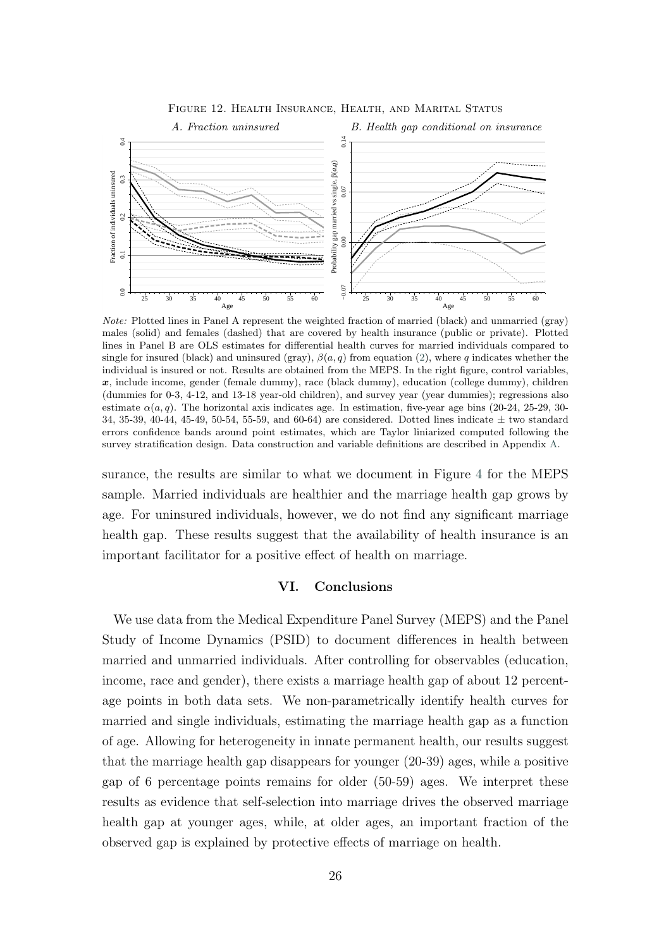<span id="page-27-0"></span>

Note: Plotted lines in Panel A represent the weighted fraction of married (black) and unmarried (gray) males (solid) and females (dashed) that are covered by health insurance (public or private). Plotted lines in Panel B are OLS estimates for differential health curves for married individuals compared to single for insured (black) and uninsured (gray),  $\beta(a, q)$  from equation [\(2\)](#page-12-5), where q indicates whether the individual is insured or not. Results are obtained from the MEPS. In the right figure, control variables,  $x$ , include income, gender (female dummy), race (black dummy), education (college dummy), children (dummies for 0-3, 4-12, and 13-18 year-old children), and survey year (year dummies); regressions also estimate  $\alpha(a, q)$ . The horizontal axis indicates age. In estimation, five-year age bins (20-24, 25-29, 30-34, 35-39, 40-44, 45-49, 50-54, 55-59, and 60-64) are considered. Dotted lines indicate ± two standard errors confidence bands around point estimates, which are Taylor liniarized computed following the survey stratification design. Data construction and variable definitions are described in Appendix [A.](#page-32-0)

surance, the results are similar to what we document in Figure [4](#page-14-0) for the MEPS sample. Married individuals are healthier and the marriage health gap grows by age. For uninsured individuals, however, we do not find any significant marriage health gap. These results suggest that the availability of health insurance is an important facilitator for a positive effect of health on marriage.

#### VI. Conclusions

We use data from the Medical Expenditure Panel Survey (MEPS) and the Panel Study of Income Dynamics (PSID) to document differences in health between married and unmarried individuals. After controlling for observables (education, income, race and gender), there exists a marriage health gap of about 12 percentage points in both data sets. We non-parametrically identify health curves for married and single individuals, estimating the marriage health gap as a function of age. Allowing for heterogeneity in innate permanent health, our results suggest that the marriage health gap disappears for younger (20-39) ages, while a positive gap of 6 percentage points remains for older (50-59) ages. We interpret these results as evidence that self-selection into marriage drives the observed marriage health gap at younger ages, while, at older ages, an important fraction of the observed gap is explained by protective effects of marriage on health.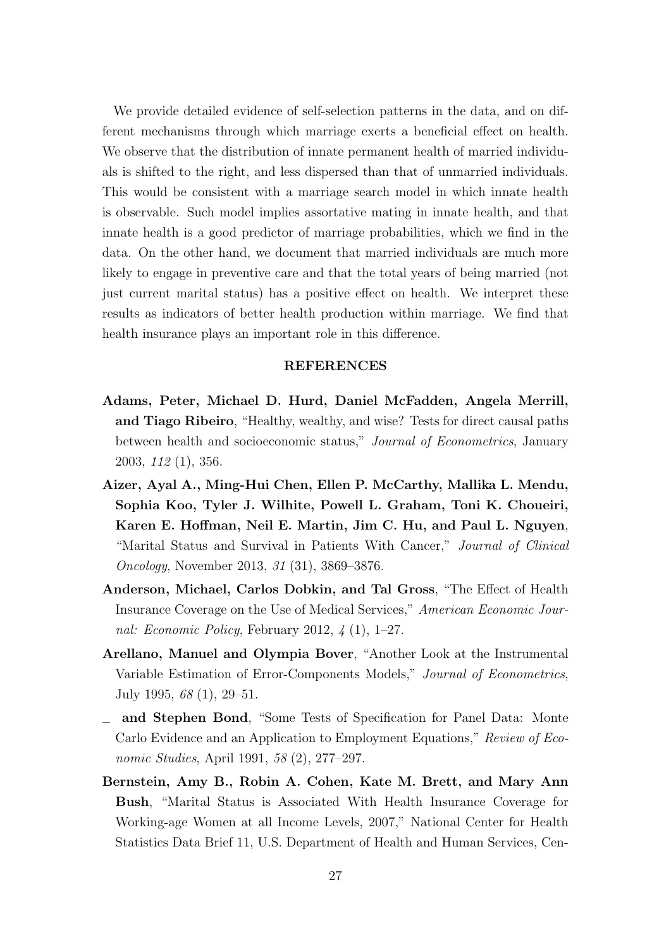We provide detailed evidence of self-selection patterns in the data, and on different mechanisms through which marriage exerts a beneficial effect on health. We observe that the distribution of innate permanent health of married individuals is shifted to the right, and less dispersed than that of unmarried individuals. This would be consistent with a marriage search model in which innate health is observable. Such model implies assortative mating in innate health, and that innate health is a good predictor of marriage probabilities, which we find in the data. On the other hand, we document that married individuals are much more likely to engage in preventive care and that the total years of being married (not just current marital status) has a positive effect on health. We interpret these results as indicators of better health production within marriage. We find that health insurance plays an important role in this difference.

#### REFERENCES

- <span id="page-28-0"></span>Adams, Peter, Michael D. Hurd, Daniel McFadden, Angela Merrill, and Tiago Ribeiro, "Healthy, wealthy, and wise? Tests for direct causal paths between health and socioeconomic status," Journal of Econometrics, January 2003, 112 (1), 356.
- <span id="page-28-3"></span>Aizer, Ayal A., Ming-Hui Chen, Ellen P. McCarthy, Mallika L. Mendu, Sophia Koo, Tyler J. Wilhite, Powell L. Graham, Toni K. Choueiri, Karen E. Hoffman, Neil E. Martin, Jim C. Hu, and Paul L. Nguyen, "Marital Status and Survival in Patients With Cancer," Journal of Clinical Oncology, November 2013, 31 (31), 3869–3876.
- <span id="page-28-4"></span>Anderson, Michael, Carlos Dobkin, and Tal Gross, "The Effect of Health Insurance Coverage on the Use of Medical Services," American Economic Journal: Economic Policy, February 2012, 4 (1), 1–27.
- <span id="page-28-2"></span>Arellano, Manuel and Olympia Bover, "Another Look at the Instrumental Variable Estimation of Error-Components Models," Journal of Econometrics, July 1995, 68 (1), 29–51.
- <span id="page-28-1"></span>and Stephen Bond, "Some Tests of Specification for Panel Data: Monte Carlo Evidence and an Application to Employment Equations," Review of Economic Studies, April 1991, 58 (2), 277–297.
- <span id="page-28-5"></span>Bernstein, Amy B., Robin A. Cohen, Kate M. Brett, and Mary Ann Bush, "Marital Status is Associated With Health Insurance Coverage for Working-age Women at all Income Levels, 2007," National Center for Health Statistics Data Brief 11, U.S. Department of Health and Human Services, Cen-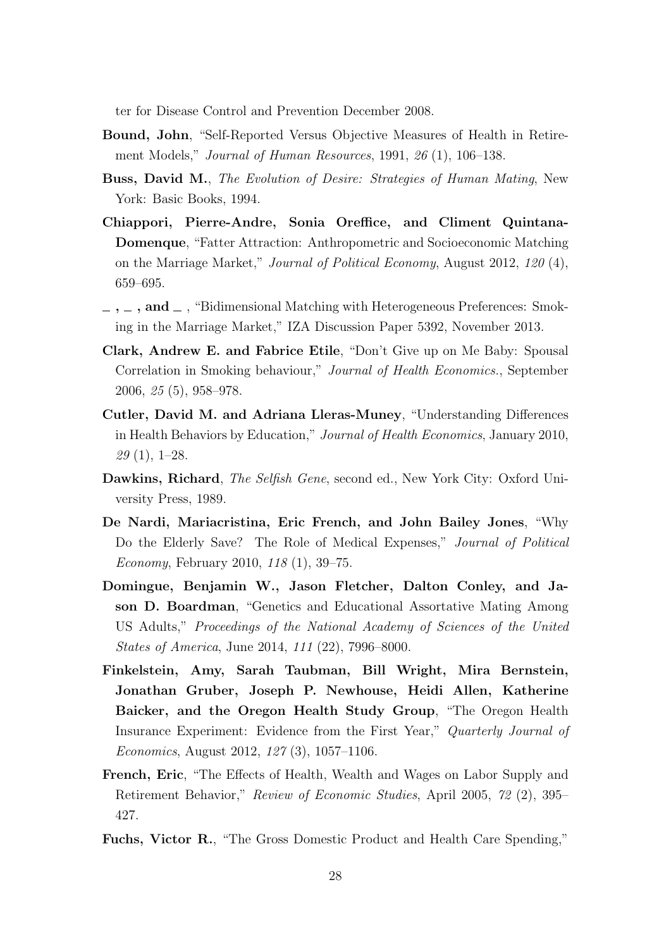ter for Disease Control and Prevention December 2008.

- <span id="page-29-6"></span>Bound, John, "Self-Reported Versus Objective Measures of Health in Retirement Models," Journal of Human Resources, 1991, 26 (1), 106–138.
- <span id="page-29-1"></span>Buss, David M., The Evolution of Desire: Strategies of Human Mating, New York: Basic Books, 1994.
- <span id="page-29-8"></span>Chiappori, Pierre-Andre, Sonia Oreffice, and Climent Quintana-Domenque, "Fatter Attraction: Anthropometric and Socioeconomic Matching on the Marriage Market," Journal of Political Economy, August 2012, 120 (4), 659–695.
- <span id="page-29-9"></span> $\ldots$ , and  $\ldots$ , "Bidimensional Matching with Heterogeneous Preferences: Smoking in the Marriage Market," IZA Discussion Paper 5392, November 2013.
- <span id="page-29-7"></span>Clark, Andrew E. and Fabrice Etile, "Don't Give up on Me Baby: Spousal Correlation in Smoking behaviour," Journal of Health Economics., September 2006, 25 (5), 958–978.
- <span id="page-29-3"></span>Cutler, David M. and Adriana Lleras-Muney, "Understanding Differences in Health Behaviors by Education," Journal of Health Economics, January 2010,  $29(1), 1-28.$
- <span id="page-29-2"></span>Dawkins, Richard, The Selfish Gene, second ed., New York City: Oxford University Press, 1989.
- <span id="page-29-5"></span>De Nardi, Mariacristina, Eric French, and John Bailey Jones, "Why Do the Elderly Save? The Role of Medical Expenses," Journal of Political Economy, February 2010, 118 (1), 39–75.
- <span id="page-29-10"></span>Domingue, Benjamin W., Jason Fletcher, Dalton Conley, and Jason D. Boardman, "Genetics and Educational Assortative Mating Among US Adults," Proceedings of the National Academy of Sciences of the United States of America, June 2014, 111 (22), 7996–8000.
- <span id="page-29-11"></span>Finkelstein, Amy, Sarah Taubman, Bill Wright, Mira Bernstein, Jonathan Gruber, Joseph P. Newhouse, Heidi Allen, Katherine Baicker, and the Oregon Health Study Group, "The Oregon Health Insurance Experiment: Evidence from the First Year," Quarterly Journal of Economics, August 2012, 127 (3), 1057–1106.
- <span id="page-29-4"></span>French, Eric, "The Effects of Health, Wealth and Wages on Labor Supply and Retirement Behavior," Review of Economic Studies, April 2005, 72 (2), 395– 427.
- <span id="page-29-0"></span>Fuchs, Victor R., "The Gross Domestic Product and Health Care Spending,"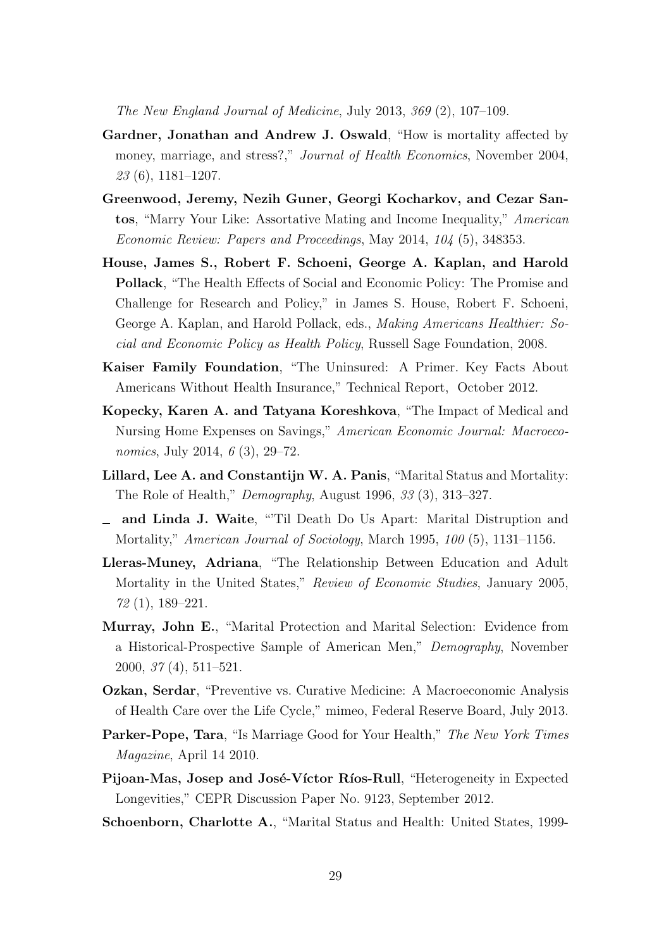The New England Journal of Medicine, July 2013, 369 (2), 107–109.

- <span id="page-30-3"></span>Gardner, Jonathan and Andrew J. Oswald, "How is mortality affected by money, marriage, and stress?," *Journal of Health Economics*, November 2004,  $23(6)$ , 1181–1207.
- <span id="page-30-11"></span>Greenwood, Jeremy, Nezih Guner, Georgi Kocharkov, and Cezar Santos, "Marry Your Like: Assortative Mating and Income Inequality," American Economic Review: Papers and Proceedings, May 2014, 104 (5), 348353.
- <span id="page-30-0"></span>House, James S., Robert F. Schoeni, George A. Kaplan, and Harold Pollack, "The Health Effects of Social and Economic Policy: The Promise and Challenge for Research and Policy," in James S. House, Robert F. Schoeni, George A. Kaplan, and Harold Pollack, eds., Making Americans Healthier: Social and Economic Policy as Health Policy, Russell Sage Foundation, 2008.
- <span id="page-30-12"></span>Kaiser Family Foundation, "The Uninsured: A Primer. Key Facts About Americans Without Health Insurance," Technical Report, October 2012.
- <span id="page-30-8"></span>Kopecky, Karen A. and Tatyana Koreshkova, "The Impact of Medical and Nursing Home Expenses on Savings," American Economic Journal: Macroeconomics, July 2014, 6 (3), 29–72.
- <span id="page-30-5"></span>Lillard, Lee A. and Constantijn W. A. Panis, "Marital Status and Mortality: The Role of Health," Demography, August 1996, 33 (3), 313–327.
- <span id="page-30-10"></span>and Linda J. Waite, "'Til Death Do Us Apart: Marital Distruption and Mortality," American Journal of Sociology, March 1995, 100 (5), 1131–1156.
- <span id="page-30-2"></span>Lleras-Muney, Adriana, "The Relationship Between Education and Adult Mortality in the United States," Review of Economic Studies, January 2005, 72 (1), 189–221.
- <span id="page-30-4"></span>Murray, John E., "Marital Protection and Marital Selection: Evidence from a Historical-Prospective Sample of American Men," Demography, November 2000, 37 (4), 511–521.
- <span id="page-30-7"></span>Ozkan, Serdar, "Preventive vs. Curative Medicine: A Macroeconomic Analysis of Health Care over the Life Cycle," mimeo, Federal Reserve Board, July 2013.
- <span id="page-30-1"></span>Parker-Pope, Tara, "Is Marriage Good for Your Health," The New York Times Magazine, April 14 2010.
- <span id="page-30-6"></span>Pijoan-Mas, Josep and José-Víctor Ríos-Rull, "Heterogeneity in Expected Longevities," CEPR Discussion Paper No. 9123, September 2012.
- <span id="page-30-9"></span>Schoenborn, Charlotte A., "Marital Status and Health: United States, 1999-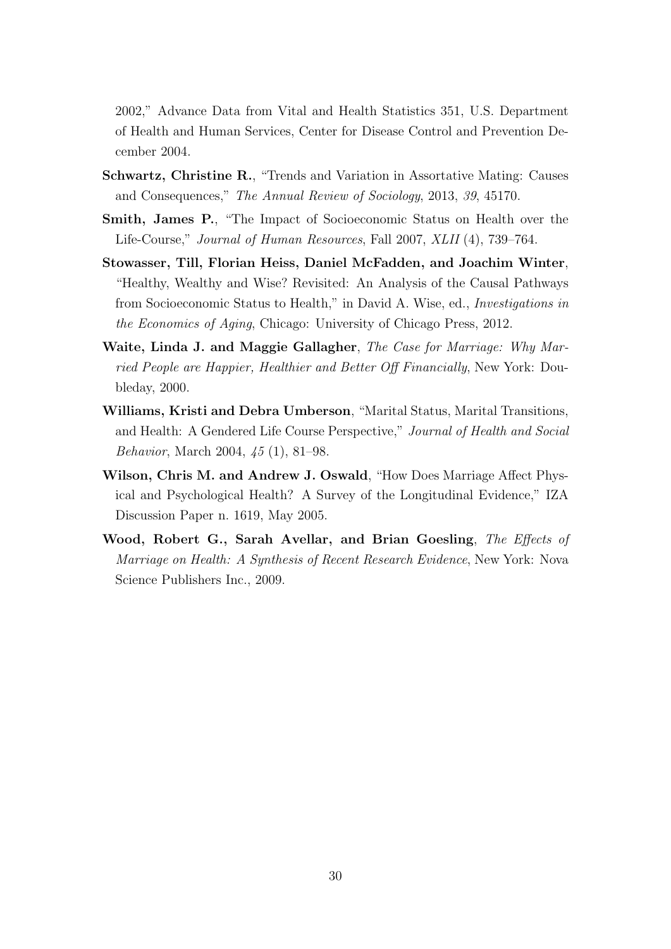2002," Advance Data from Vital and Health Statistics 351, U.S. Department of Health and Human Services, Center for Disease Control and Prevention December 2004.

- <span id="page-31-6"></span>Schwartz, Christine R., "Trends and Variation in Assortative Mating: Causes and Consequences," The Annual Review of Sociology, 2013, 39, 45170.
- <span id="page-31-4"></span>Smith, James P., "The Impact of Socioeconomic Status on Health over the Life-Course," Journal of Human Resources, Fall 2007, XLII (4), 739–764.
- <span id="page-31-1"></span>Stowasser, Till, Florian Heiss, Daniel McFadden, and Joachim Winter, "Healthy, Wealthy and Wise? Revisited: An Analysis of the Causal Pathways from Socioeconomic Status to Health," in David A. Wise, ed., Investigations in the Economics of Aging, Chicago: University of Chicago Press, 2012.
- <span id="page-31-0"></span>Waite, Linda J. and Maggie Gallagher, The Case for Marriage: Why Married People are Happier, Healthier and Better Off Financially, New York: Doubleday, 2000.
- <span id="page-31-5"></span>Williams, Kristi and Debra Umberson, "Marital Status, Marital Transitions, and Health: A Gendered Life Course Perspective," Journal of Health and Social Behavior, March 2004, 45 (1), 81–98.
- <span id="page-31-3"></span>Wilson, Chris M. and Andrew J. Oswald, "How Does Marriage Affect Physical and Psychological Health? A Survey of the Longitudinal Evidence," IZA Discussion Paper n. 1619, May 2005.
- <span id="page-31-2"></span>Wood, Robert G., Sarah Avellar, and Brian Goesling, The Effects of Marriage on Health: A Synthesis of Recent Research Evidence, New York: Nova Science Publishers Inc., 2009.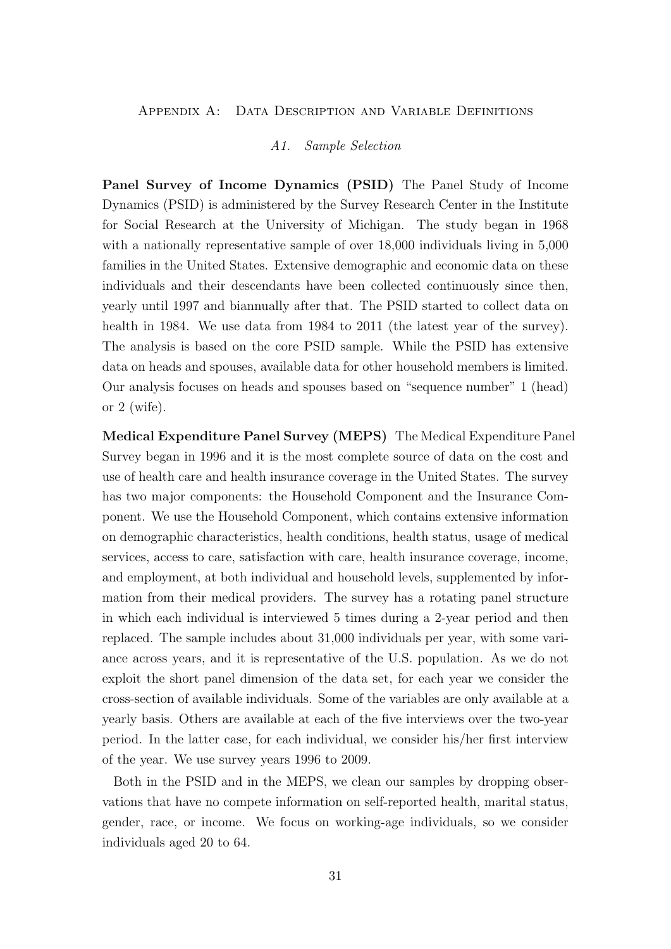#### <span id="page-32-0"></span>Appendix A: Data Description and Variable Definitions

#### A1. Sample Selection

Panel Survey of Income Dynamics (PSID) The Panel Study of Income Dynamics (PSID) is administered by the Survey Research Center in the Institute for Social Research at the University of Michigan. The study began in 1968 with a nationally representative sample of over 18,000 individuals living in 5,000 families in the United States. Extensive demographic and economic data on these individuals and their descendants have been collected continuously since then, yearly until 1997 and biannually after that. The PSID started to collect data on health in 1984. We use data from 1984 to 2011 (the latest year of the survey). The analysis is based on the core PSID sample. While the PSID has extensive data on heads and spouses, available data for other household members is limited. Our analysis focuses on heads and spouses based on "sequence number" 1 (head) or 2 (wife).

Medical Expenditure Panel Survey (MEPS) The Medical Expenditure Panel Survey began in 1996 and it is the most complete source of data on the cost and use of health care and health insurance coverage in the United States. The survey has two major components: the Household Component and the Insurance Component. We use the Household Component, which contains extensive information on demographic characteristics, health conditions, health status, usage of medical services, access to care, satisfaction with care, health insurance coverage, income, and employment, at both individual and household levels, supplemented by information from their medical providers. The survey has a rotating panel structure in which each individual is interviewed 5 times during a 2-year period and then replaced. The sample includes about 31,000 individuals per year, with some variance across years, and it is representative of the U.S. population. As we do not exploit the short panel dimension of the data set, for each year we consider the cross-section of available individuals. Some of the variables are only available at a yearly basis. Others are available at each of the five interviews over the two-year period. In the latter case, for each individual, we consider his/her first interview of the year. We use survey years 1996 to 2009.

Both in the PSID and in the MEPS, we clean our samples by dropping observations that have no compete information on self-reported health, marital status, gender, race, or income. We focus on working-age individuals, so we consider individuals aged 20 to 64.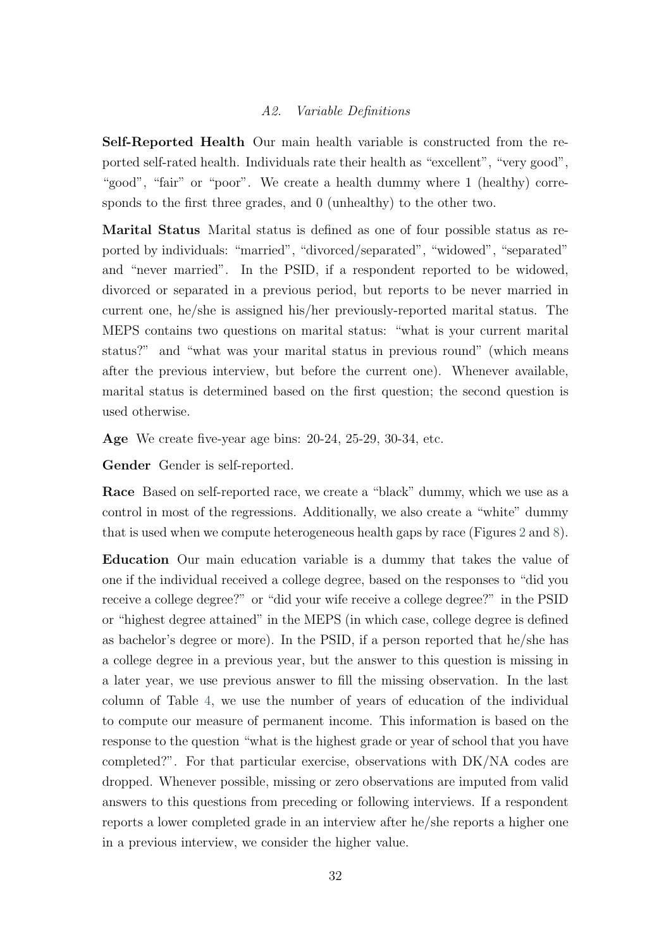#### A2. Variable Definitions

Self-Reported Health Our main health variable is constructed from the reported self-rated health. Individuals rate their health as "excellent", "very good", "good", "fair" or "poor". We create a health dummy where 1 (healthy) corresponds to the first three grades, and 0 (unhealthy) to the other two.

Marital Status Marital status is defined as one of four possible status as reported by individuals: "married", "divorced/separated", "widowed", "separated" and "never married". In the PSID, if a respondent reported to be widowed, divorced or separated in a previous period, but reports to be never married in current one, he/she is assigned his/her previously-reported marital status. The MEPS contains two questions on marital status: "what is your current marital status?" and "what was your marital status in previous round" (which means after the previous interview, but before the current one). Whenever available, marital status is determined based on the first question; the second question is used otherwise.

Age We create five-year age bins: 20-24, 25-29, 30-34, etc.

Gender Gender is self-reported.

Race Based on self-reported race, we create a "black" dummy, which we use as a control in most of the regressions. Additionally, we also create a "white" dummy that is used when we compute heterogeneous health gaps by race (Figures [2](#page-9-0) and [8\)](#page-17-1).

Education Our main education variable is a dummy that takes the value of one if the individual received a college degree, based on the responses to "did you receive a college degree?" or "did your wife receive a college degree?" in the PSID or "highest degree attained" in the MEPS (in which case, college degree is defined as bachelor's degree or more). In the PSID, if a person reported that he/she has a college degree in a previous year, but the answer to this question is missing in a later year, we use previous answer to fill the missing observation. In the last column of Table [4,](#page-21-1) we use the number of years of education of the individual to compute our measure of permanent income. This information is based on the response to the question "what is the highest grade or year of school that you have completed?". For that particular exercise, observations with DK/NA codes are dropped. Whenever possible, missing or zero observations are imputed from valid answers to this questions from preceding or following interviews. If a respondent reports a lower completed grade in an interview after he/she reports a higher one in a previous interview, we consider the higher value.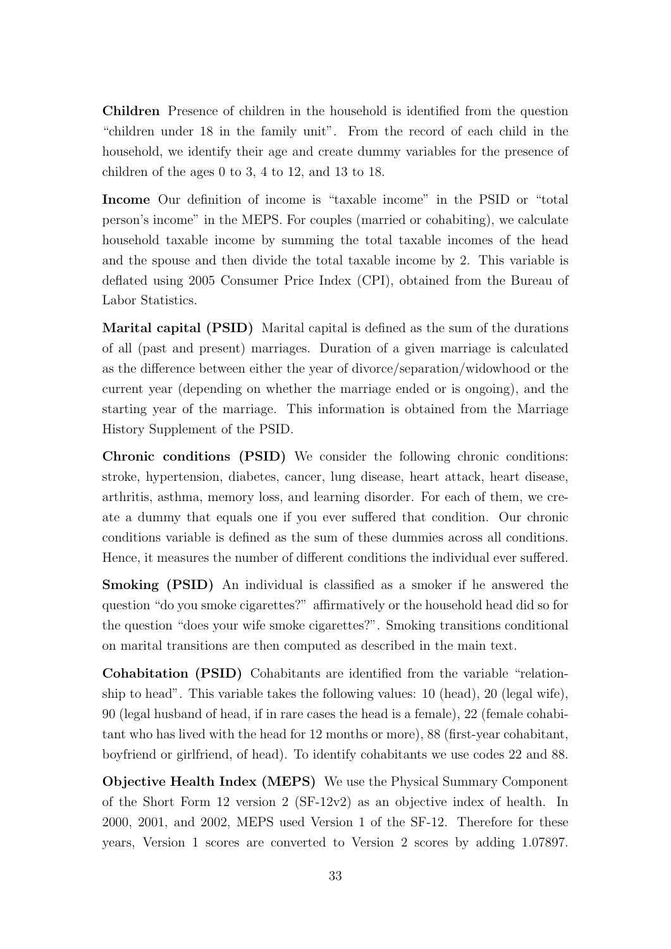Children Presence of children in the household is identified from the question "children under 18 in the family unit". From the record of each child in the household, we identify their age and create dummy variables for the presence of children of the ages 0 to 3, 4 to 12, and 13 to 18.

Income Our definition of income is "taxable income" in the PSID or "total person's income" in the MEPS. For couples (married or cohabiting), we calculate household taxable income by summing the total taxable incomes of the head and the spouse and then divide the total taxable income by 2. This variable is deflated using 2005 Consumer Price Index (CPI), obtained from the Bureau of Labor Statistics.

Marital capital (PSID) Marital capital is defined as the sum of the durations of all (past and present) marriages. Duration of a given marriage is calculated as the difference between either the year of divorce/separation/widowhood or the current year (depending on whether the marriage ended or is ongoing), and the starting year of the marriage. This information is obtained from the Marriage History Supplement of the PSID.

Chronic conditions (PSID) We consider the following chronic conditions: stroke, hypertension, diabetes, cancer, lung disease, heart attack, heart disease, arthritis, asthma, memory loss, and learning disorder. For each of them, we create a dummy that equals one if you ever suffered that condition. Our chronic conditions variable is defined as the sum of these dummies across all conditions. Hence, it measures the number of different conditions the individual ever suffered.

Smoking (PSID) An individual is classified as a smoker if he answered the question "do you smoke cigarettes?" affirmatively or the household head did so for the question "does your wife smoke cigarettes?". Smoking transitions conditional on marital transitions are then computed as described in the main text.

Cohabitation (PSID) Cohabitants are identified from the variable "relationship to head". This variable takes the following values: 10 (head), 20 (legal wife), 90 (legal husband of head, if in rare cases the head is a female), 22 (female cohabitant who has lived with the head for 12 months or more), 88 (first-year cohabitant, boyfriend or girlfriend, of head). To identify cohabitants we use codes 22 and 88.

Objective Health Index (MEPS) We use the Physical Summary Component of the Short Form 12 version 2 (SF-12v2) as an objective index of health. In 2000, 2001, and 2002, MEPS used Version 1 of the SF-12. Therefore for these years, Version 1 scores are converted to Version 2 scores by adding 1.07897.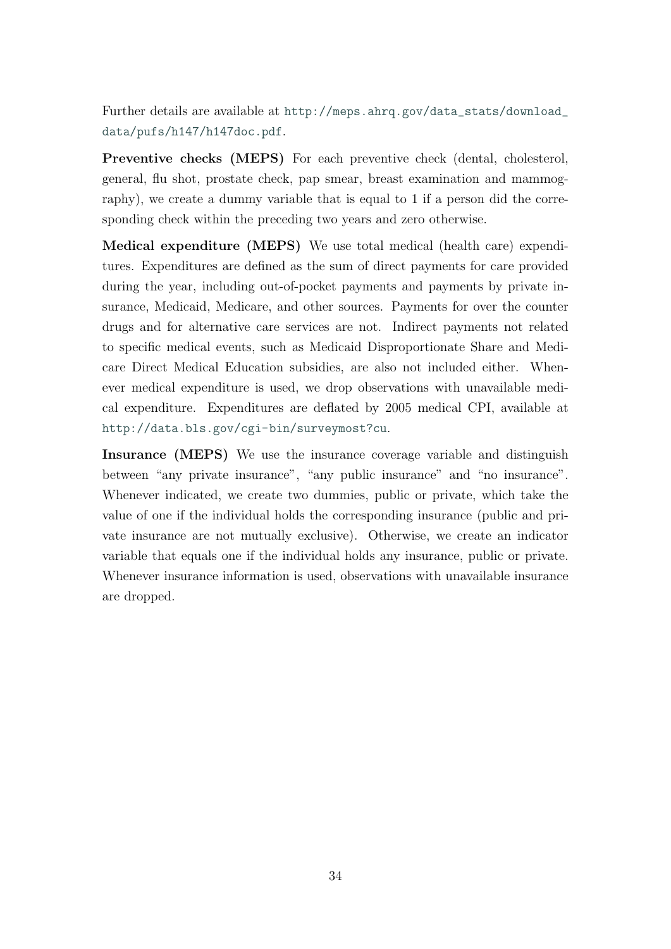Further details are available at [http://meps.ahrq.gov/data\\_stats/download\\_](http://meps.ahrq.gov/data_stats/download_data/pufs/h147/h147doc.pdf) [data/pufs/h147/h147doc.pdf](http://meps.ahrq.gov/data_stats/download_data/pufs/h147/h147doc.pdf).

Preventive checks (MEPS) For each preventive check (dental, cholesterol, general, flu shot, prostate check, pap smear, breast examination and mammography), we create a dummy variable that is equal to 1 if a person did the corresponding check within the preceding two years and zero otherwise.

Medical expenditure (MEPS) We use total medical (health care) expenditures. Expenditures are defined as the sum of direct payments for care provided during the year, including out-of-pocket payments and payments by private insurance, Medicaid, Medicare, and other sources. Payments for over the counter drugs and for alternative care services are not. Indirect payments not related to specific medical events, such as Medicaid Disproportionate Share and Medicare Direct Medical Education subsidies, are also not included either. Whenever medical expenditure is used, we drop observations with unavailable medical expenditure. Expenditures are deflated by 2005 medical CPI, available at <http://data.bls.gov/cgi-bin/surveymost?cu>.

Insurance (MEPS) We use the insurance coverage variable and distinguish between "any private insurance", "any public insurance" and "no insurance". Whenever indicated, we create two dummies, public or private, which take the value of one if the individual holds the corresponding insurance (public and private insurance are not mutually exclusive). Otherwise, we create an indicator variable that equals one if the individual holds any insurance, public or private. Whenever insurance information is used, observations with unavailable insurance are dropped.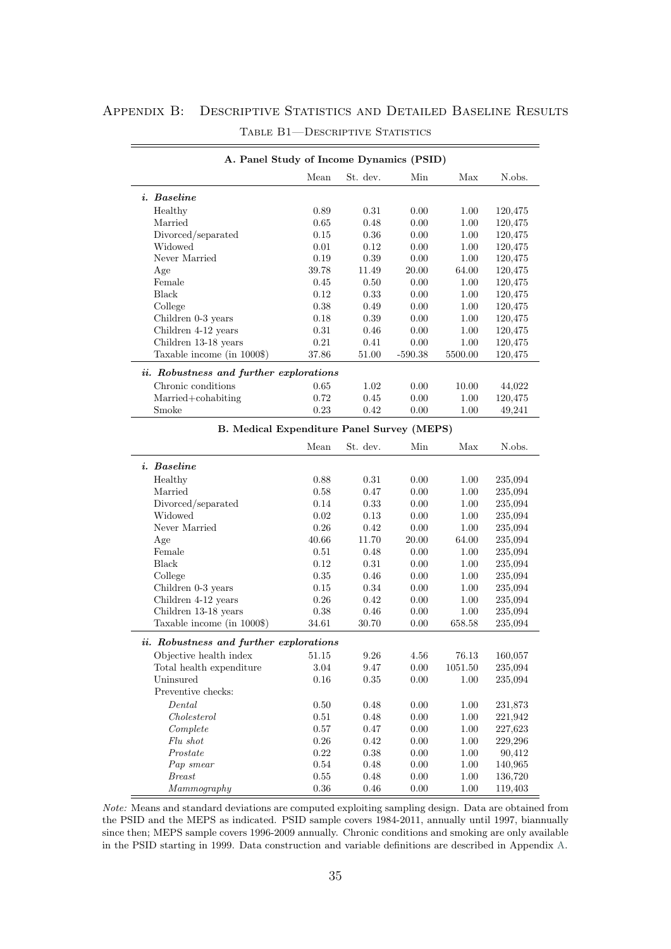### <span id="page-36-1"></span><span id="page-36-0"></span>APPENDIX B: DESCRIPTIVE STATISTICS AND DETAILED BASELINE RESULTS

| A. Panel Study of Income Dynamics (PSID)                             |                  |          |              |              |                    |  |  |
|----------------------------------------------------------------------|------------------|----------|--------------|--------------|--------------------|--|--|
|                                                                      | Mean             | St. dev. | Min          | Max          | N.obs.             |  |  |
| <i>i.</i> Baseline                                                   |                  |          |              |              |                    |  |  |
| Healthy                                                              | 0.89             | 0.31     | 0.00         | 1.00         | 120,475            |  |  |
| Married                                                              | $0.65\,$         | 0.48     | 0.00         | 1.00         | 120,475            |  |  |
| Divorced/separated                                                   | 0.15             | 0.36     | 0.00         | 1.00         | 120,475            |  |  |
| Widowed                                                              | 0.01             | 0.12     | 0.00         | 1.00         | 120,475            |  |  |
| Never Married                                                        | 0.19             | $0.39\,$ | 0.00         | 1.00         | 120,475            |  |  |
| Age                                                                  | 39.78            | 11.49    | 20.00        | 64.00        | 120,475            |  |  |
| Female                                                               | 0.45             | 0.50     | 0.00         | 1.00         | 120,475            |  |  |
| <b>Black</b>                                                         | $0.12\,$         | 0.33     | 0.00         | 1.00         | 120,475            |  |  |
| College                                                              | $0.38\,$         | 0.49     | 0.00         | 1.00         | 120,475            |  |  |
| Children 0-3 years                                                   | $0.18\,$         | 0.39     | 0.00         | 1.00         | 120,475            |  |  |
| Children 4-12 years                                                  | 0.31             | 0.46     | 0.00         | 1.00         | 120,475            |  |  |
| Children 13-18 years                                                 | $0.21\,$         | 0.41     | 0.00         | 1.00         | 120,475            |  |  |
| Taxable income (in 1000\$)                                           | 37.86            | 51.00    | $-590.38$    | 5500.00      | 120,475            |  |  |
|                                                                      |                  |          |              |              |                    |  |  |
| <i>ii.</i> Robustness and further explorations<br>Chronic conditions | 0.65             | 1.02     | $0.00\,$     | 10.00        | 44,022             |  |  |
| Married+cohabiting                                                   | 0.72             | 0.45     | 0.00         | 1.00         | 120,475            |  |  |
| Smoke                                                                | 0.23             | 0.42     | 0.00         | 1.00         | 49,241             |  |  |
|                                                                      |                  |          |              |              |                    |  |  |
| <b>B.</b> Medical Expenditure Panel Survey (MEPS)                    |                  |          |              |              |                    |  |  |
|                                                                      | Mean             | St. dev. | Min          | Max          | N.obs.             |  |  |
| <i>i.</i> Baseline                                                   |                  |          |              |              |                    |  |  |
| Healthy                                                              | 0.88             | 0.31     | 0.00         | 1.00         | 235,094            |  |  |
| Married                                                              | 0.58             | 0.47     | 0.00         | 1.00         | 235,094            |  |  |
| Divorced/separated                                                   | 0.14             | 0.33     | 0.00         | 1.00         | 235,094            |  |  |
| Widowed                                                              | 0.02             | 0.13     | 0.00         | 1.00         | 235,094            |  |  |
| Never Married                                                        | 0.26             | 0.42     | 0.00         | 1.00         | 235,094            |  |  |
| Age                                                                  | 40.66            | 11.70    | 20.00        | 64.00        | 235,094            |  |  |
| Female                                                               | 0.51             | 0.48     | 0.00         | 1.00         | 235,094            |  |  |
| <b>Black</b>                                                         | $0.12\,$         | $0.31\,$ | 0.00         | 1.00         | 235,094            |  |  |
| College                                                              | $\rm 0.35$       | 0.46     | 0.00         | 1.00         | 235,094            |  |  |
| Children 0-3 years                                                   | 0.15             | 0.34     | 0.00         | 1.00         | 235,094            |  |  |
| Children 4-12 years                                                  | 0.26             | 0.42     | 0.00         | 1.00         | 235,094            |  |  |
| Children 13-18 years                                                 | 0.38             | 0.46     | 0.00         | 1.00         | 235,094            |  |  |
| Taxable income (in 1000\$)                                           | 34.61            | 30.70    | 0.00         | 658.58       | 235,094            |  |  |
| <i>ii.</i> Robustness and further explorations                       |                  |          |              |              |                    |  |  |
| Objective health index                                               | 51.15            | $9.26\,$ | 4.56         | 76.13        | 160,057            |  |  |
| Total health expenditure                                             | 3.04             | 9.47     | 0.00         | 1051.50      | 235,094            |  |  |
| Uninsured                                                            | 0.16             | 0.35     | $0.00\,$     | 1.00         | 235,094            |  |  |
| Preventive checks:                                                   |                  |          |              |              |                    |  |  |
| Dental                                                               | 0.50             | 0.48     | $0.00\,$     | 1.00         | 231,873            |  |  |
| Cholesterol                                                          | 0.51             | 0.48     | $0.00\,$     | 1.00         | 221,942            |  |  |
| Complete                                                             | $0.57\,$         | 0.47     | $0.00\,$     | 1.00         |                    |  |  |
| Flu shot                                                             | $0.26\,$         | $0.42\,$ |              | $1.00\,$     | 227,623            |  |  |
|                                                                      | $0.22\,$         | $0.38\,$ | 0.00         | $1.00\,$     | 229,296            |  |  |
| Prostate                                                             |                  | 0.48     | 0.00         |              | 90,412             |  |  |
| Pap smear<br><b>Breast</b>                                           | 0.54<br>$0.55\,$ | 0.48     | 0.00<br>0.00 | 1.00<br>1.00 | 140,965<br>136,720 |  |  |
| Mammography                                                          | $0.36\,$         | $0.46\,$ | 0.00         | 1.00         | 119,403            |  |  |
|                                                                      |                  |          |              |              |                    |  |  |

#### TABLE B1-DESCRIPTIVE STATISTICS

Note: Means and standard deviations are computed exploiting sampling design. Data are obtained from the PSID and the MEPS as indicated. PSID sample covers 1984-2011, annually until 1997, biannually since then; MEPS sample covers 1996-2009 annually. Chronic conditions and smoking are only available in the PSID starting in 1999. Data construction and variable definitions are described in Appendix [A.](#page-32-0)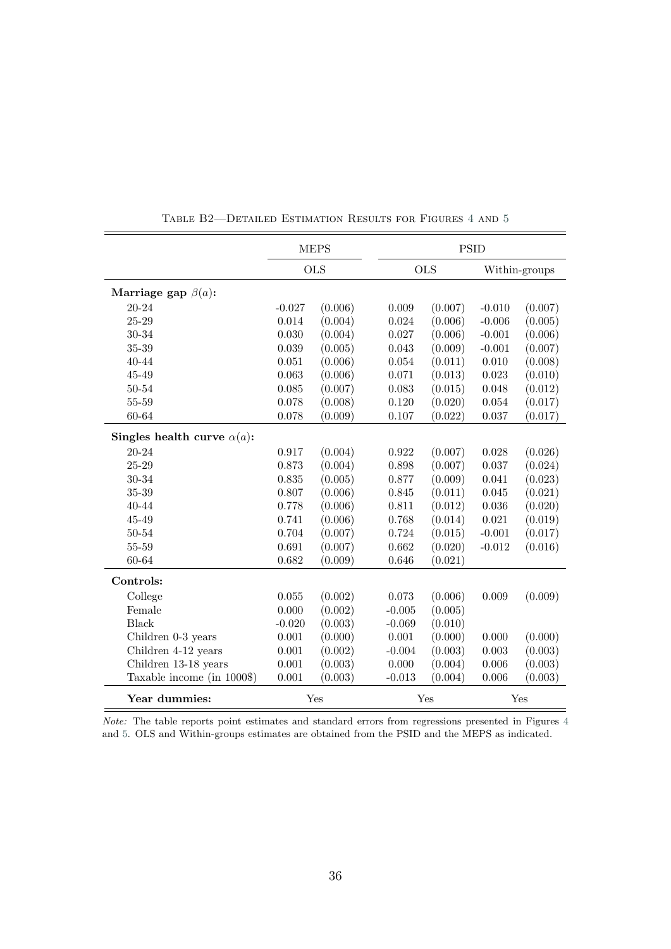<span id="page-37-0"></span>

|                                    | <b>MEPS</b> |         |           |            | <b>PSID</b> |               |  |
|------------------------------------|-------------|---------|-----------|------------|-------------|---------------|--|
|                                    | <b>OLS</b>  |         |           | <b>OLS</b> |             | Within-groups |  |
| Marriage gap $\beta(a)$ :          |             |         |           |            |             |               |  |
| 20-24                              | $-0.027$    | (0.006) | 0.009     | (0.007)    | $-0.010$    | (0.007)       |  |
| 25-29                              | 0.014       | (0.004) | 0.024     | (0.006)    | $-0.006$    | (0.005)       |  |
| 30-34                              | 0.030       | (0.004) | 0.027     | (0.006)    | $-0.001$    | (0.006)       |  |
| $35 - 39$                          | 0.039       | (0.005) | 0.043     | (0.009)    | $-0.001$    | (0.007)       |  |
| 40-44                              | 0.051       | (0.006) | 0.054     | (0.011)    | 0.010       | (0.008)       |  |
| $45 - 49$                          | 0.063       | (0.006) | 0.071     | (0.013)    | 0.023       | (0.010)       |  |
| 50-54                              | 0.085       | (0.007) | 0.083     | (0.015)    | 0.048       | (0.012)       |  |
| 55-59                              | 0.078       | (0.008) | 0.120     | (0.020)    | 0.054       | (0.017)       |  |
| 60-64                              | 0.078       | (0.009) | 0.107     | (0.022)    | 0.037       | (0.017)       |  |
| Singles health curve $\alpha(a)$ : |             |         |           |            |             |               |  |
| 20-24                              | 0.917       | (0.004) | 0.922     | (0.007)    | $0.028\,$   | (0.026)       |  |
| $25 - 29$                          | 0.873       | (0.004) | 0.898     | (0.007)    | 0.037       | (0.024)       |  |
| 30-34                              | 0.835       | (0.005) | 0.877     | (0.009)    | 0.041       | (0.023)       |  |
| $35 - 39$                          | 0.807       | (0.006) | 0.845     | (0.011)    | 0.045       | (0.021)       |  |
| 40-44                              | 0.778       | (0.006) | 0.811     | (0.012)    | 0.036       | (0.020)       |  |
| $45 - 49$                          | 0.741       | (0.006) | 0.768     | (0.014)    | 0.021       | (0.019)       |  |
| $50 - 54$                          | 0.704       | (0.007) | 0.724     | (0.015)    | $-0.001$    | (0.017)       |  |
| $55 - 59$                          | 0.691       | (0.007) | 0.662     | (0.020)    | $-0.012$    | (0.016)       |  |
| 60-64                              | 0.682       | (0.009) | 0.646     | (0.021)    |             |               |  |
| Controls:                          |             |         |           |            |             |               |  |
| College                            | 0.055       | (0.002) | 0.073     | (0.006)    | 0.009       | (0.009)       |  |
| Female                             | 0.000       | (0.002) | $-0.005$  | (0.005)    |             |               |  |
| <b>Black</b>                       | $-0.020$    | (0.003) | $-0.069$  | (0.010)    |             |               |  |
| Children 0-3 years                 | $0.001\,$   | (0.000) | $0.001\,$ | (0.000)    | 0.000       | (0.000)       |  |
| Children 4-12 years                | 0.001       | (0.002) | $-0.004$  | (0.003)    | 0.003       | (0.003)       |  |
| Children 13-18 years               | 0.001       | (0.003) | 0.000     | (0.004)    | 0.006       | (0.003)       |  |
| Taxable income (in 1000\$)         | 0.001       | (0.003) | $-0.013$  | (0.004)    | 0.006       | (0.003)       |  |
| Year dummies:                      |             | Yes     |           | Yes        |             | Yes           |  |

Table B2—Detailed Estimation Results for Figures [4](#page-14-0) and [5](#page-14-1)

Note: The table reports point estimates and standard errors from regressions presented in Figures [4](#page-14-0) and [5.](#page-14-1) OLS and Within-groups estimates are obtained from the PSID and the MEPS as indicated.